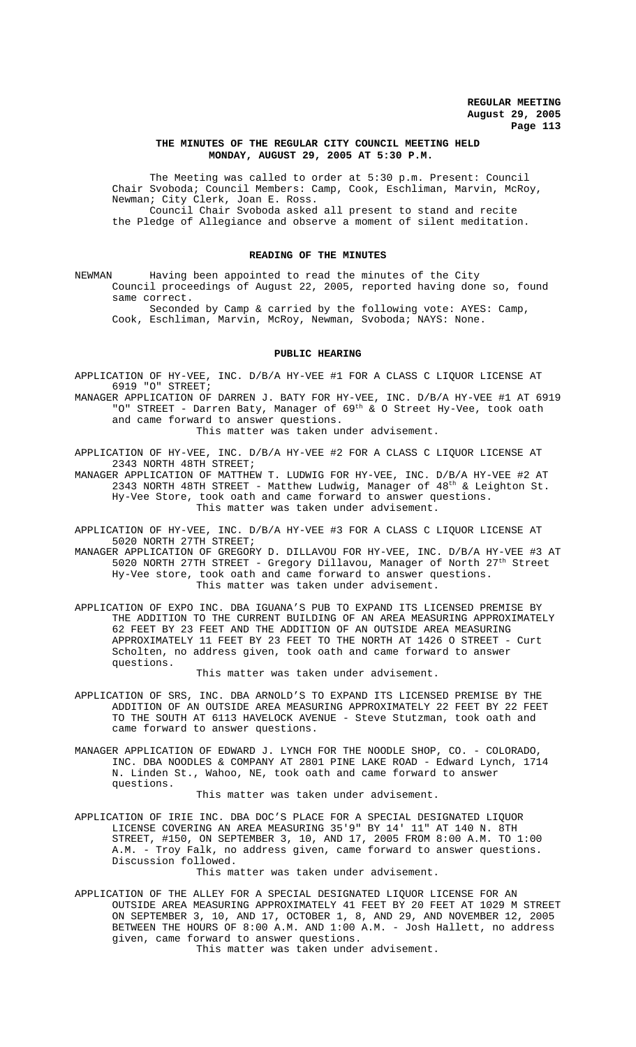# **THE MINUTES OF THE REGULAR CITY COUNCIL MEETING HELD MONDAY, AUGUST 29, 2005 AT 5:30 P.M.**

The Meeting was called to order at 5:30 p.m. Present: Council Chair Svoboda; Council Members: Camp, Cook, Eschliman, Marvin, McRoy, Newman; City Clerk, Joan E. Ross. Council Chair Svoboda asked all present to stand and recite

the Pledge of Allegiance and observe a moment of silent meditation.

## **READING OF THE MINUTES**

NEWMAN Having been appointed to read the minutes of the City Council proceedings of August 22, 2005, reported having done so, found same correct.

Seconded by Camp & carried by the following vote: AYES: Camp, Cook, Eschliman, Marvin, McRoy, Newman, Svoboda; NAYS: None.

# **PUBLIC HEARING**

APPLICATION OF HY-VEE, INC. D/B/A HY-VEE #1 FOR A CLASS C LIQUOR LICENSE AT 6919 "O" STREET;

MANAGER APPLICATION OF DARREN J. BATY FOR HY-VEE, INC. D/B/A HY-VEE #1 AT 6919 "O" STREET - Darren Baty, Manager of 69th & O Street Hy-Vee, took oath and came forward to answer questions.

This matter was taken under advisement.

APPLICATION OF HY-VEE, INC. D/B/A HY-VEE #2 FOR A CLASS C LIQUOR LICENSE AT 2343 NORTH 48TH STREET;

MANAGER APPLICATION OF MATTHEW T. LUDWIG FOR HY-VEE, INC. D/B/A HY-VEE #2 AT 2343 NORTH 48TH STREET - Matthew Ludwig, Manager of  $48<sup>th</sup>$  & Leighton St. Hy-Vee Store, took oath and came forward to answer questions. This matter was taken under advisement.

APPLICATION OF HY-VEE, INC. D/B/A HY-VEE #3 FOR A CLASS C LIQUOR LICENSE AT 5020 NORTH 27TH STREET;

MANAGER APPLICATION OF GREGORY D. DILLAVOU FOR HY-VEE, INC. D/B/A HY-VEE #3 AT 5020 NORTH 27TH STREET - Gregory Dillavou, Manager of North 27th Street Hy-Vee store, took oath and came forward to answer questions. This matter was taken under advisement.

APPLICATION OF EXPO INC. DBA IGUANA'S PUB TO EXPAND ITS LICENSED PREMISE BY THE ADDITION TO THE CURRENT BUILDING OF AN AREA MEASURING APPROXIMATELY 62 FEET BY 23 FEET AND THE ADDITION OF AN OUTSIDE AREA MEASURING APPROXIMATELY 11 FEET BY 23 FEET TO THE NORTH AT 1426 O STREET - Curt Scholten, no address given, took oath and came forward to answer questions.

This matter was taken under advisement.

- APPLICATION OF SRS, INC. DBA ARNOLD'S TO EXPAND ITS LICENSED PREMISE BY THE ADDITION OF AN OUTSIDE AREA MEASURING APPROXIMATELY 22 FEET BY 22 FEET TO THE SOUTH AT 6113 HAVELOCK AVENUE - Steve Stutzman, took oath and came forward to answer questions.
- MANAGER APPLICATION OF EDWARD J. LYNCH FOR THE NOODLE SHOP, CO. COLORADO, INC. DBA NOODLES & COMPANY AT 2801 PINE LAKE ROAD - Edward Lynch, 1714 N. Linden St., Wahoo, NE, took oath and came forward to answer questions.

#### This matter was taken under advisement.

APPLICATION OF IRIE INC. DBA DOC'S PLACE FOR A SPECIAL DESIGNATED LIQUOR LICENSE COVERING AN AREA MEASURING 35'9" BY 14' 11" AT 140 N. 8TH STREET, #150, ON SEPTEMBER 3, 10, AND 17, 2005 FROM 8:00 A.M. TO 1:00 A.M. - Troy Falk, no address given, came forward to answer questions. Discussion followed.

This matter was taken under advisement.

APPLICATION OF THE ALLEY FOR A SPECIAL DESIGNATED LIQUOR LICENSE FOR AN OUTSIDE AREA MEASURING APPROXIMATELY 41 FEET BY 20 FEET AT 1029 M STREET ON SEPTEMBER 3, 10, AND 17, OCTOBER 1, 8, AND 29, AND NOVEMBER 12, 2005 BETWEEN THE HOURS OF 8:00 A.M. AND 1:00 A.M. - Josh Hallett, no address given, came forward to answer questions.

This matter was taken under advisement.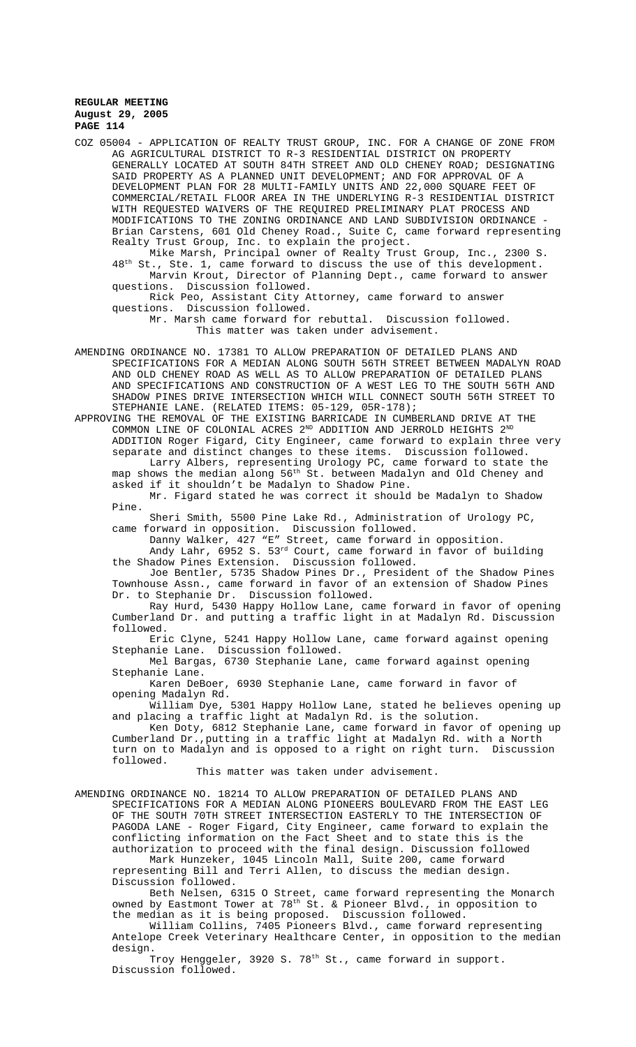COZ 05004 - APPLICATION OF REALTY TRUST GROUP, INC. FOR A CHANGE OF ZONE FROM AG AGRICULTURAL DISTRICT TO R-3 RESIDENTIAL DISTRICT ON PROPERTY GENERALLY LOCATED AT SOUTH 84TH STREET AND OLD CHENEY ROAD; DESIGNATING SAID PROPERTY AS A PLANNED UNIT DEVELOPMENT; AND FOR APPROVAL OF A DEVELOPMENT PLAN FOR 28 MULTI-FAMILY UNITS AND 22,000 SQUARE FEET OF COMMERCIAL/RETAIL FLOOR AREA IN THE UNDERLYING R-3 RESIDENTIAL DISTRICT WITH REQUESTED WAIVERS OF THE REQUIRED PRELIMINARY PLAT PROCESS AND MODIFICATIONS TO THE ZONING ORDINANCE AND LAND SUBDIVISION ORDINANCE Brian Carstens, 601 Old Cheney Road., Suite C, came forward representing Realty Trust Group, Inc. to explain the project.

Mike Marsh, Principal owner of Realty Trust Group, Inc., 2300 S. 48<sup>th</sup> St., Ste. 1, came forward to discuss the use of this development. Marvin Krout, Director of Planning Dept., came forward to answer questions. Discussion followed. Discussion followed.

Rick Peo, Assistant City Attorney, came forward to answer questions. Discussion followed.

Mr. Marsh came forward for rebuttal. Discussion followed. This matter was taken under advisement.

AMENDING ORDINANCE NO. 17381 TO ALLOW PREPARATION OF DETAILED PLANS AND SPECIFICATIONS FOR A MEDIAN ALONG SOUTH 56TH STREET BETWEEN MADALYN ROAD AND OLD CHENEY ROAD AS WELL AS TO ALLOW PREPARATION OF DETAILED PLANS AND SPECIFICATIONS AND CONSTRUCTION OF A WEST LEG TO THE SOUTH 56TH AND SHADOW PINES DRIVE INTERSECTION WHICH WILL CONNECT SOUTH 56TH STREET TO STEPHANIE LANE. (RELATED ITEMS: 05-129, 05R-178);

APPROVING THE REMOVAL OF THE EXISTING BARRICADE IN CUMBERLAND DRIVE AT THE COMMON LINE OF COLONIAL ACRES  $2^{ND}$  ADDITION AND JERROLD HEIGHTS  $2^{ND}$ ADDITION Roger Figard, City Engineer, came forward to explain three very separate and distinct changes to these items. Discussion followed. Larry Albers, representing Urology PC, came forward to state the map shows the median along 56<sup>th</sup> St. between Madalyn and Old Cheney and

asked if it shouldn't be Madalyn to Shadow Pine.

Mr. Figard stated he was correct it should be Madalyn to Shadow Pine.

Sheri Smith, 5500 Pine Lake Rd., Administration of Urology PC, came forward in opposition. Discussion followed.

Danny Walker, 427 "E" Street, came forward in opposition.

Andy Lahr, 6952 S. 53rd Court, came forward in favor of building the Shadow Pines Extension. Discussion followed.

Joe Bentler, 5735 Shadow Pines Dr., President of the Shadow Pines Townhouse Assn., came forward in favor of an extension of Shadow Pines Dr. to Stephanie Dr. Discussion followed.

Ray Hurd, 5430 Happy Hollow Lane, came forward in favor of opening Cumberland Dr. and putting a traffic light in at Madalyn Rd. Discussion followed.

Eric Clyne, 5241 Happy Hollow Lane, came forward against opening Stephanie Lane. Discussion followed.

Mel Bargas, 6730 Stephanie Lane, came forward against opening Stephanie Lane.

Karen DeBoer, 6930 Stephanie Lane, came forward in favor of opening Madalyn Rd.

William Dye, 5301 Happy Hollow Lane, stated he believes opening up and placing a traffic light at Madalyn Rd. is the solution.

Ken Doty, 6812 Stephanie Lane, came forward in favor of opening up Cumberland Dr.,putting in a traffic light at Madalyn Rd. with a North turn on to Madalyn and is opposed to a right on right turn. Discussion followed.

This matter was taken under advisement.

AMENDING ORDINANCE NO. 18214 TO ALLOW PREPARATION OF DETAILED PLANS AND SPECIFICATIONS FOR A MEDIAN ALONG PIONEERS BOULEVARD FROM THE EAST LEG OF THE SOUTH 70TH STREET INTERSECTION EASTERLY TO THE INTERSECTION OF PAGODA LANE - Roger Figard, City Engineer, came forward to explain the conflicting information on the Fact Sheet and to state this is the conflicting information on the final design. Discussion followed<br>authorization to proceed with the final design. Discussion followed

Mark Hunzeker, 1045 Lincoln Mall, Suite 200, came forward representing Bill and Terri Allen, to discuss the median design. Discussion followed.

Beth Nelsen, 6315 O Street, came forward representing the Monarch owned by Eastmont Tower at  $78^{\text{th}}$  St. & Pioneer Blvd., in opposition to the median as it is being proposed. Discussion followed.

William Collins, 7405 Pioneers Blvd., came forward representing Antelope Creek Veterinary Healthcare Center, in opposition to the median design.

Troy Henggeler, 3920 S. 78<sup>th</sup> St., came forward in support. Discussion followed.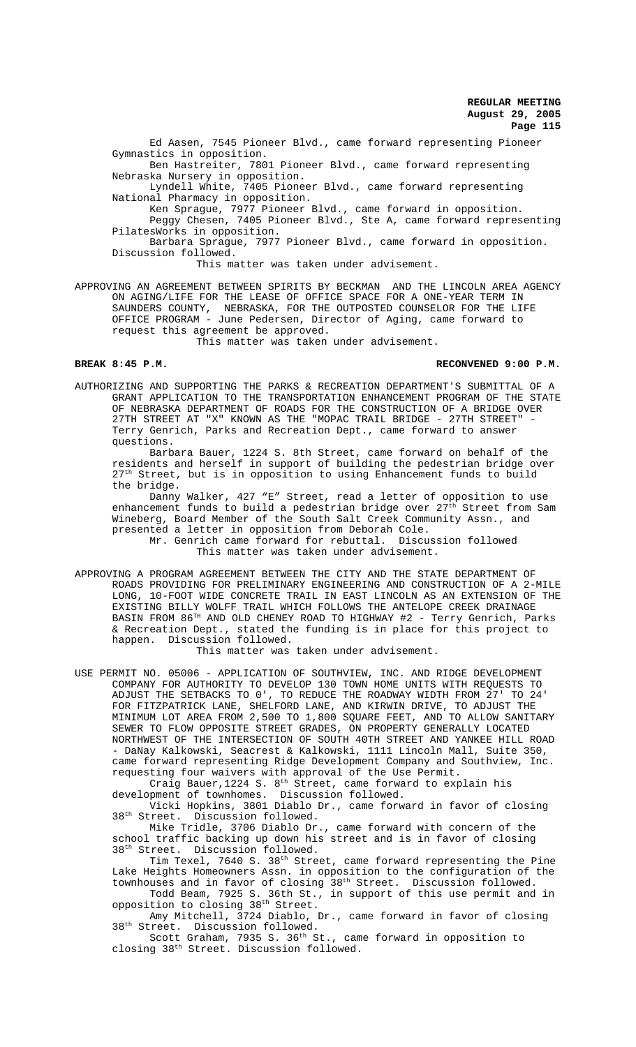Ed Aasen, 7545 Pioneer Blvd., came forward representing Pioneer Gymnastics in opposition.

Ben Hastreiter, 7801 Pioneer Blvd., came forward representing Nebraska Nursery in opposition.

Lyndell White, 7405 Pioneer Blvd., came forward representing National Pharmacy in opposition.

Ken Sprague, 7977 Pioneer Blvd., came forward in opposition.

Peggy Chesen, 7405 Pioneer Blvd., Ste A, came forward representing PilatesWorks in opposition.

Barbara Sprague, 7977 Pioneer Blvd., came forward in opposition. Discussion followed.

This matter was taken under advisement.

APPROVING AN AGREEMENT BETWEEN SPIRITS BY BECKMAN AND THE LINCOLN AREA AGENCY ON AGING/LIFE FOR THE LEASE OF OFFICE SPACE FOR A ONE-YEAR TERM IN SAUNDERS COUNTY, NEBRASKA, FOR THE OUTPOSTED COUNSELOR FOR THE LIFE OFFICE PROGRAM - June Pedersen, Director of Aging, came forward to request this agreement be approved. This matter was taken under advisement.

**BREAK 8:45 P.M. RECONVENED 9:00 P.M.**

AUTHORIZING AND SUPPORTING THE PARKS & RECREATION DEPARTMENT'S SUBMITTAL OF A GRANT APPLICATION TO THE TRANSPORTATION ENHANCEMENT PROGRAM OF THE STATE OF NEBRASKA DEPARTMENT OF ROADS FOR THE CONSTRUCTION OF A BRIDGE OVER 27TH STREET AT "X" KNOWN AS THE "MOPAC TRAIL BRIDGE - 27TH STREET" Terry Genrich, Parks and Recreation Dept., came forward to answer questions.

Barbara Bauer, 1224 S. 8th Street, came forward on behalf of the residents and herself in support of building the pedestrian bridge over 27<sup>th</sup> Street, but is in opposition to using Enhancement funds to build the bridge.

Danny Walker, 427 "E" Street, read a letter of opposition to use enhancement funds to build a pedestrian bridge over 27<sup>th</sup> Street from Sam Wineberg, Board Member of the South Salt Creek Community Assn., and presented a letter in opposition from Deborah Cole.

Mr. Genrich came forward for rebuttal. Discussion followed This matter was taken under advisement.

APPROVING A PROGRAM AGREEMENT BETWEEN THE CITY AND THE STATE DEPARTMENT OF ROADS PROVIDING FOR PRELIMINARY ENGINEERING AND CONSTRUCTION OF A 2-MILE LONG, 10-FOOT WIDE CONCRETE TRAIL IN EAST LINCOLN AS AN EXTENSION OF THE EXISTING BILLY WOLFF TRAIL WHICH FOLLOWS THE ANTELOPE CREEK DRAINAGE BASIN FROM 86TH AND OLD CHENEY ROAD TO HIGHWAY #2 - Terry Genrich, Parks & Recreation Dept., stated the funding is in place for this project to happen. Discussion followed.

This matter was taken under advisement.

USE PERMIT NO. 05006 - APPLICATION OF SOUTHVIEW, INC. AND RIDGE DEVELOPMENT COMPANY FOR AUTHORITY TO DEVELOP 130 TOWN HOME UNITS WITH REQUESTS TO ADJUST THE SETBACKS TO 0', TO REDUCE THE ROADWAY WIDTH FROM 27' TO 24' FOR FITZPATRICK LANE, SHELFORD LANE, AND KIRWIN DRIVE, TO ADJUST THE MINIMUM LOT AREA FROM 2,500 TO 1,800 SQUARE FEET, AND TO ALLOW SANITARY SEWER TO FLOW OPPOSITE STREET GRADES, ON PROPERTY GENERALLY LOCATED NORTHWEST OF THE INTERSECTION OF SOUTH 40TH STREET AND YANKEE HILL ROAD - DaNay Kalkowski, Seacrest & Kalkowski, 1111 Lincoln Mall, Suite 350, came forward representing Ridge Development Company and Southview, Inc. requesting four waivers with approval of the Use Permit.

Craig Bauer, $1224$  S.  $8^{\text{th}}$  Street, came forward to explain his development of townhomes. Discussion followed.

Vicki Hopkins, 3801 Diablo Dr., came forward in favor of closing 38<sup>th</sup> Street. Discussion followed.

Mike Tridle, 3706 Diablo Dr., came forward with concern of the school traffic backing up down his street and is in favor of closing 38th Street. Discussion followed.

Tim Texel, 7640 S. 38<sup>th</sup> Street, came forward representing the Pine Lake Heights Homeowners Assn. in opposition to the configuration of the townhouses and in favor of closing 38th Street. Discussion followed. Todd Beam, 7925 S. 36th St., in support of this use permit and in

opposition to closing 38<sup>th</sup> Street. Amy Mitchell, 3724 Diablo, Dr., came forward in favor of closing

38<sup>th</sup> Street. Discussion followed.

Scott Graham, 7935 S. 36<sup>th</sup> St., came forward in opposition to closing 38th Street. Discussion followed.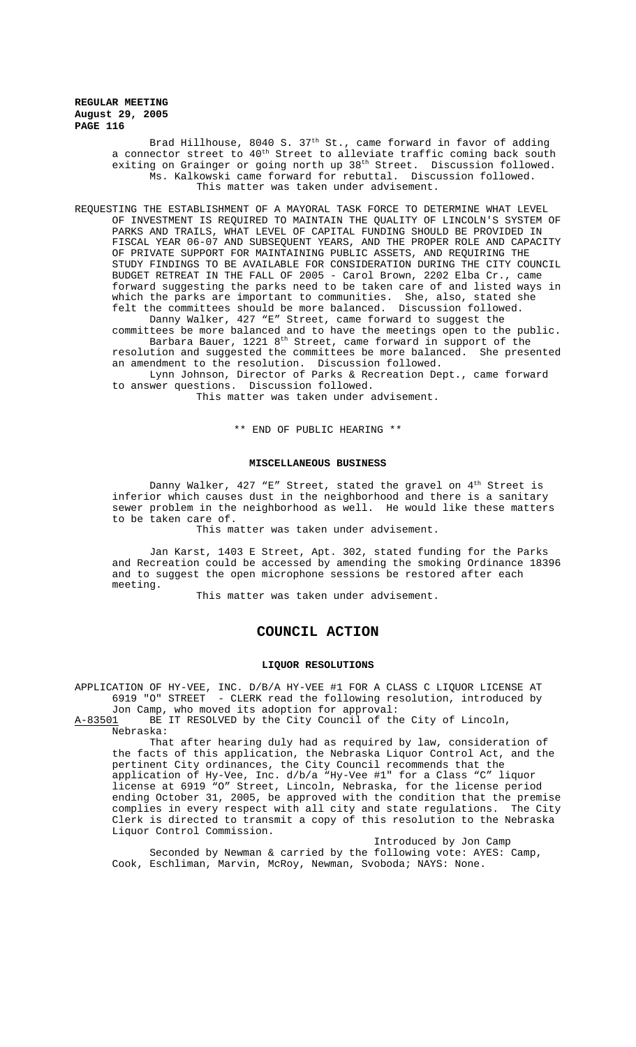> Brad Hillhouse, 8040 S. 37<sup>th</sup> St., came forward in favor of adding a connector street to  $40^{\text{th}}$  Street to alleviate traffic coming back south exiting on Grainger or going north up 38<sup>th</sup> Street. Discussion followed. Ms. Kalkowski came forward for rebuttal. Discussion followed. This matter was taken under advisement.

REQUESTING THE ESTABLISHMENT OF A MAYORAL TASK FORCE TO DETERMINE WHAT LEVEL OF INVESTMENT IS REQUIRED TO MAINTAIN THE QUALITY OF LINCOLN'S SYSTEM OF PARKS AND TRAILS, WHAT LEVEL OF CAPITAL FUNDING SHOULD BE PROVIDED IN FISCAL YEAR 06-07 AND SUBSEQUENT YEARS, AND THE PROPER ROLE AND CAPACITY OF PRIVATE SUPPORT FOR MAINTAINING PUBLIC ASSETS, AND REQUIRING THE STUDY FINDINGS TO BE AVAILABLE FOR CONSIDERATION DURING THE CITY COUNCIL BUDGET RETREAT IN THE FALL OF 2005 - Carol Brown, 2202 Elba Cr., came forward suggesting the parks need to be taken care of and listed ways in which the parks are important to communities. She, also, stated she felt the committees should be more balanced. Discussion followed. Danny Walker, 427 "E" Street, came forward to suggest the

committees be more balanced and to have the meetings open to the public. Barbara Bauer,  $1221$   $8^{\text{th}}$  Street, came forward in support of the resolution and suggested the committees be more balanced. She presented

an amendment to the resolution. Discussion followed.

Lynn Johnson, Director of Parks & Recreation Dept., came forward to answer questions. Discussion followed.

This matter was taken under advisement.

\*\* END OF PUBLIC HEARING \*\*

#### **MISCELLANEOUS BUSINESS**

Danny Walker,  $427$  "E" Street, stated the gravel on  $4<sup>th</sup>$  Street is inferior which causes dust in the neighborhood and there is a sanitary sewer problem in the neighborhood as well. He would like these matters to be taken care of.

This matter was taken under advisement.

Jan Karst, 1403 E Street, Apt. 302, stated funding for the Parks and Recreation could be accessed by amending the smoking Ordinance 18396 and to suggest the open microphone sessions be restored after each meeting.

This matter was taken under advisement.

## **COUNCIL ACTION**

#### **LIQUOR RESOLUTIONS**

APPLICATION OF HY-VEE, INC. D/B/A HY-VEE #1 FOR A CLASS C LIQUOR LICENSE AT 6919 "O" STREET - CLERK read the following resolution, introduced by Jon Camp, who moved its adoption for approval:

A-83501 BE IT RESOLVED by the City Council of the City of Lincoln, Nebraska:

That after hearing duly had as required by law, consideration of the facts of this application, the Nebraska Liquor Control Act, and the pertinent City ordinances, the City Council recommends that the application of Hy-Vee, Inc. d/b/a "Hy-Vee #1" for a Class "C" liquor license at 6919 "O" Street, Lincoln, Nebraska, for the license period ending October 31, 2005, be approved with the condition that the premise complies in every respect with all city and state regulations. The City Clerk is directed to transmit a copy of this resolution to the Nebraska Liquor Control Commission.

Introduced by Jon Camp Seconded by Newman & carried by the following vote: AYES: Camp, Cook, Eschliman, Marvin, McRoy, Newman, Svoboda; NAYS: None.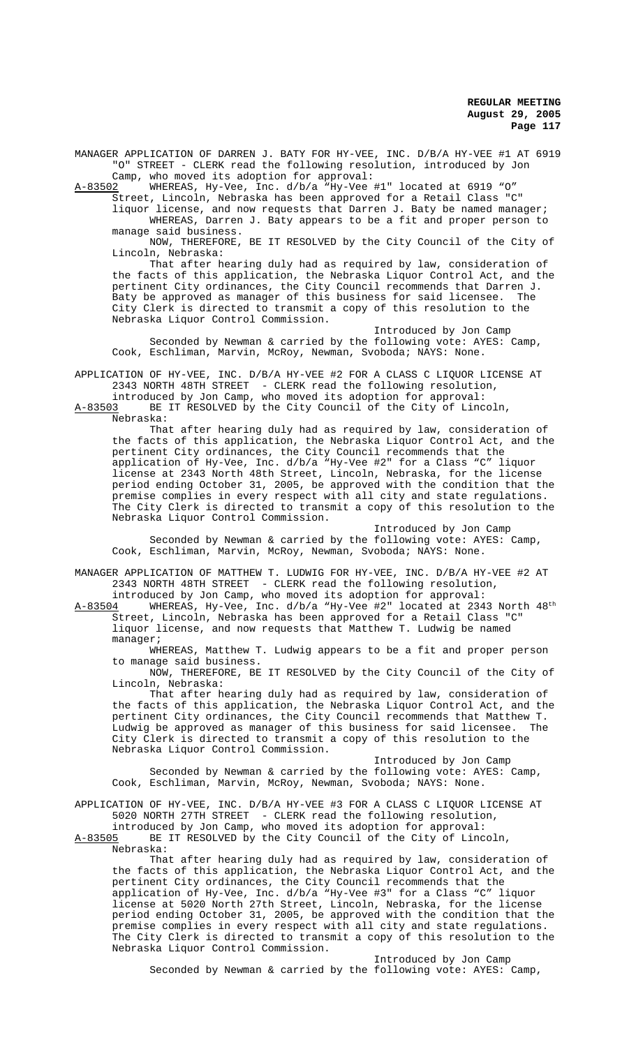MANAGER APPLICATION OF DARREN J. BATY FOR HY-VEE, INC. D/B/A HY-VEE #1 AT 6919 "O" STREET - CLERK read the following resolution, introduced by Jon Camp, who moved its adoption for approval:

A-83502 WHEREAS, Hy-Vee, Inc. d/b/a "Hy-Vee #1" located at 6919 "O"

Street, Lincoln, Nebraska has been approved for a Retail Class "C" liquor license, and now requests that Darren J. Baty be named manager; WHEREAS, Darren J. Baty appears to be a fit and proper person to manage said business.

NOW, THEREFORE, BE IT RESOLVED by the City Council of the City of Lincoln, Nebraska:

That after hearing duly had as required by law, consideration of the facts of this application, the Nebraska Liquor Control Act, and the pertinent City ordinances, the City Council recommends that Darren J. Baty be approved as manager of this business for said licensee. The City Clerk is directed to transmit a copy of this resolution to the Nebraska Liquor Control Commission.

Introduced by Jon Camp Seconded by Newman & carried by the following vote: AYES: Camp, Cook, Eschliman, Marvin, McRoy, Newman, Svoboda; NAYS: None.

APPLICATION OF HY-VEE, INC. D/B/A HY-VEE #2 FOR A CLASS C LIQUOR LICENSE AT 2343 NORTH 48TH STREET - CLERK read the following resolution, introduced by Jon Camp, who moved its adoption for approval:

A-83503 BE IT RESOLVED by the City Council of the City of Lincoln, Nebraska:

That after hearing duly had as required by law, consideration of the facts of this application, the Nebraska Liquor Control Act, and the pertinent City ordinances, the City Council recommends that the application of Hy-Vee, Inc. d/b/a "Hy-Vee #2" for a Class "C" liquor license at 2343 North 48th Street, Lincoln, Nebraska, for the license period ending October 31, 2005, be approved with the condition that the premise complies in every respect with all city and state regulations. The City Clerk is directed to transmit a copy of this resolution to the Nebraska Liquor Control Commission.

Introduced by Jon Camp Seconded by Newman & carried by the following vote: AYES: Camp, Cook, Eschliman, Marvin, McRoy, Newman, Svoboda; NAYS: None.

MANAGER APPLICATION OF MATTHEW T. LUDWIG FOR HY-VEE, INC. D/B/A HY-VEE #2 AT 2343 NORTH 48TH STREET - CLERK read the following resolution,

introduced by Jon Camp, who moved its adoption for approval: A-83504 WHEREAS, Hy-Vee, Inc. d/b/a "Hy-Vee #2" located at 2343 North 48<sup>th</sup> Street, Lincoln, Nebraska has been approved for a Retail Class "C" liquor license, and now requests that Matthew T. Ludwig be named manager;

WHEREAS, Matthew T. Ludwig appears to be a fit and proper person to manage said business.

NOW, THEREFORE, BE IT RESOLVED by the City Council of the City of Lincoln, Nebraska:

That after hearing duly had as required by law, consideration of the facts of this application, the Nebraska Liquor Control Act, and the pertinent City ordinances, the City Council recommends that Matthew T. Ludwig be approved as manager of this business for said licensee. The City Clerk is directed to transmit a copy of this resolution to the Nebraska Liquor Control Commission.

Introduced by Jon Camp Seconded by Newman & carried by the following vote: AYES: Camp, Cook, Eschliman, Marvin, McRoy, Newman, Svoboda; NAYS: None.

APPLICATION OF HY-VEE, INC. D/B/A HY-VEE #3 FOR A CLASS C LIQUOR LICENSE AT 5020 NORTH 27TH STREET - CLERK read the following resolution,

introduced by Jon Camp, who moved its adoption for approval: A-83505 BE IT RESOLVED by the City Council of the City of Lincoln, Nebraska:

That after hearing duly had as required by law, consideration of the facts of this application, the Nebraska Liquor Control Act, and the pertinent City ordinances, the City Council recommends that the application of Hy-Vee, Inc. d/b/a "Hy-Vee #3" for a Class "C" liquor license at 5020 North 27th Street, Lincoln, Nebraska, for the license period ending October 31, 2005, be approved with the condition that the premise complies in every respect with all city and state regulations. The City Clerk is directed to transmit a copy of this resolution to the Nebraska Liquor Control Commission.

Introduced by Jon Camp

Seconded by Newman & carried by the following vote: AYES: Camp,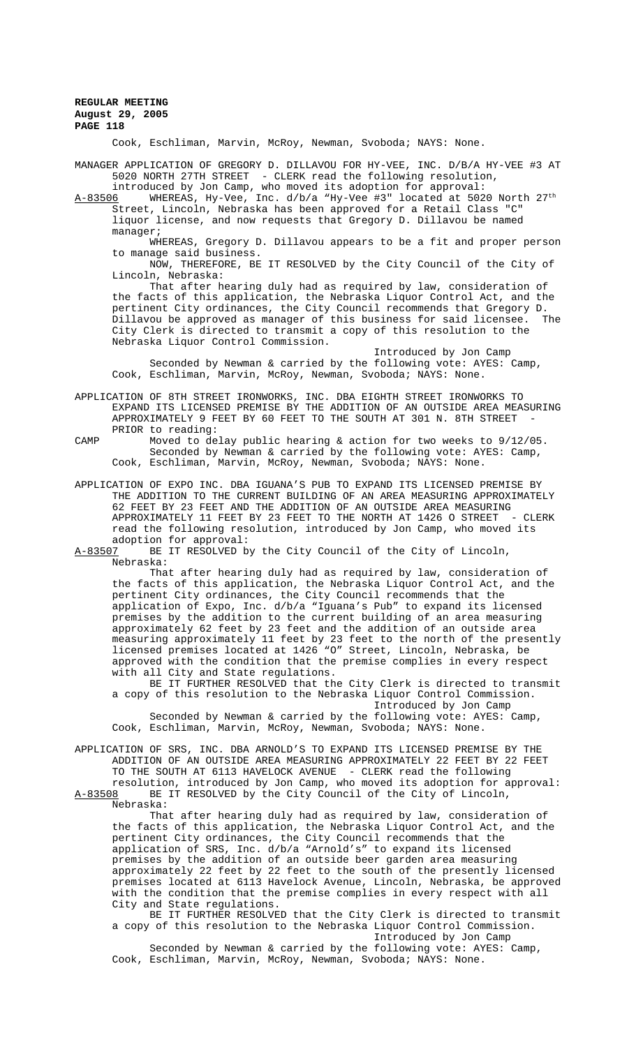Cook, Eschliman, Marvin, McRoy, Newman, Svoboda; NAYS: None.

MANAGER APPLICATION OF GREGORY D. DILLAVOU FOR HY-VEE, INC. D/B/A HY-VEE #3 AT 5020 NORTH 27TH STREET - CLERK read the following resolution,

introduced by Jon Camp, who moved its adoption for approval: A-83506 WHEREAS, Hy-Vee, Inc. d/b/a "Hy-Vee #3" located at 5020 North 27<sup>th</sup> Street, Lincoln, Nebraska has been approved for a Retail Class "C" liquor license, and now requests that Gregory D. Dillavou be named manager;

WHEREAS, Gregory D. Dillavou appears to be a fit and proper person to manage said business.

NOW, THEREFORE, BE IT RESOLVED by the City Council of the City of Lincoln, Nebraska:

That after hearing duly had as required by law, consideration of the facts of this application, the Nebraska Liquor Control Act, and the pertinent City ordinances, the City Council recommends that Gregory D. Dillavou be approved as manager of this business for said licensee. The City Clerk is directed to transmit a copy of this resolution to the Nebraska Liquor Control Commission.

Introduced by Jon Camp Seconded by Newman & carried by the following vote: AYES: Camp, Cook, Eschliman, Marvin, McRoy, Newman, Svoboda; NAYS: None.

APPLICATION OF 8TH STREET IRONWORKS, INC. DBA EIGHTH STREET IRONWORKS TO EXPAND ITS LICENSED PREMISE BY THE ADDITION OF AN OUTSIDE AREA MEASURING APPROXIMATELY 9 FEET BY 60 FEET TO THE SOUTH AT 301 N. 8TH STREET PRIOR to reading:

CAMP Moved to delay public hearing & action for two weeks to 9/12/05. Seconded by Newman & carried by the following vote: AYES: Camp, Cook, Eschliman, Marvin, McRoy, Newman, Svoboda; NAYS: None.

APPLICATION OF EXPO INC. DBA IGUANA'S PUB TO EXPAND ITS LICENSED PREMISE BY THE ADDITION TO THE CURRENT BUILDING OF AN AREA MEASURING APPROXIMATELY 62 FEET BY 23 FEET AND THE ADDITION OF AN OUTSIDE AREA MEASURING<br>APPROXIMATELY 11 FEET BY 23 FEET TO THE NORTH AT 1426 O STREET - CLERK APPROXIMATELY 11 FEET BY 23 FEET TO THE NORTH AT 1426 O STREET read the following resolution, introduced by Jon Camp, who moved its adoption for approval:<br>A-83507 BE IT RESOLVED b

BE IT RESOLVED by the City Council of the City of Lincoln, Nebraska:

That after hearing duly had as required by law, consideration of the facts of this application, the Nebraska Liquor Control Act, and the pertinent City ordinances, the City Council recommends that the application of Expo, Inc. d/b/a "Iguana's Pub" to expand its licensed premises by the addition to the current building of an area measuring approximately 62 feet by 23 feet and the addition of an outside area measuring approximately 11 feet by 23 feet to the north of the presently licensed premises located at 1426 "O" Street, Lincoln, Nebraska, be approved with the condition that the premise complies in every respect with all City and State regulations.

BE IT FURTHER RESOLVED that the City Clerk is directed to transmit a copy of this resolution to the Nebraska Liquor Control Commission. Introduced by Jon Camp

Seconded by Newman & carried by the following vote: AYES: Camp, Cook, Eschliman, Marvin, McRoy, Newman, Svoboda; NAYS: None.

APPLICATION OF SRS, INC. DBA ARNOLD'S TO EXPAND ITS LICENSED PREMISE BY THE ADDITION OF AN OUTSIDE AREA MEASURING APPROXIMATELY 22 FEET BY 22 FEET TO THE SOUTH AT 6113 HAVELOCK AVENUE - CLERK read the following resolution, introduced by Jon Camp, who moved its adoption for approval: A-83508 BE IT RESOLVED by the City Council of the City of Lincoln,

Nebraska:

That after hearing duly had as required by law, consideration of the facts of this application, the Nebraska Liquor Control Act, and the pertinent City ordinances, the City Council recommends that the application of SRS, Inc. d/b/a "Arnold's" to expand its licensed premises by the addition of an outside beer garden area measuring approximately 22 feet by 22 feet to the south of the presently licensed premises located at 6113 Havelock Avenue, Lincoln, Nebraska, be approved with the condition that the premise complies in every respect with all City and State regulations.

BE IT FURTHER RESOLVED that the City Clerk is directed to transmit a copy of this resolution to the Nebraska Liquor Control Commission. Introduced by Jon Camp

Seconded by Newman & carried by the following vote: AYES: Camp, Cook, Eschliman, Marvin, McRoy, Newman, Svoboda; NAYS: None.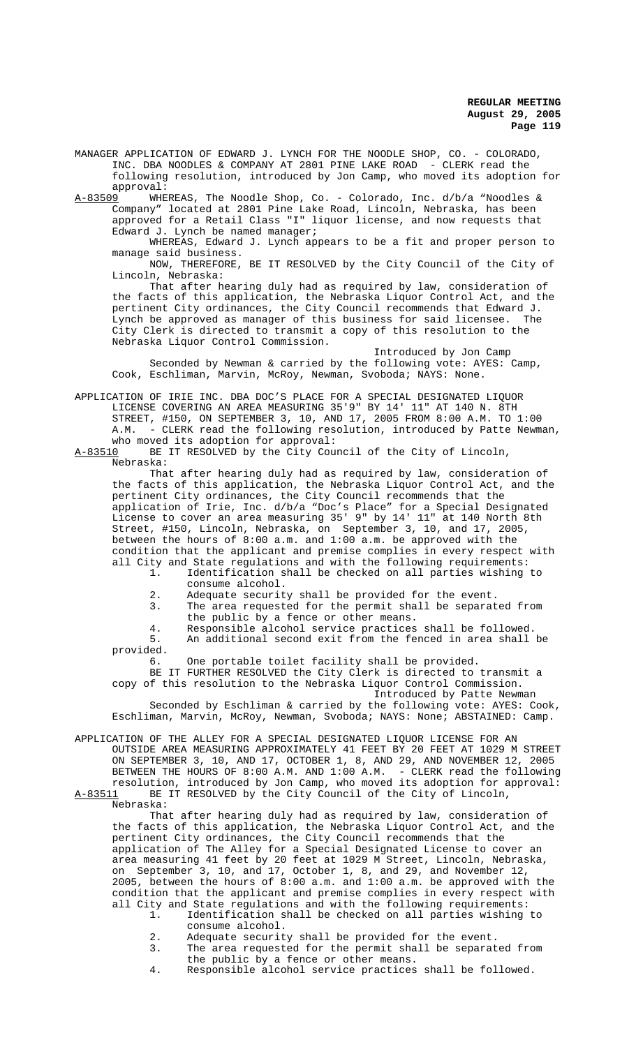MANAGER APPLICATION OF EDWARD J. LYNCH FOR THE NOODLE SHOP, CO. - COLORADO, INC. DBA NOODLES & COMPANY AT 2801 PINE LAKE ROAD - CLERK read the following resolution, introduced by Jon Camp, who moved its adoption for approval:<br>A-83509 MHE

A-83509 WHEREAS, The Noodle Shop, Co. - Colorado, Inc. d/b/a "Noodles & Company" located at 2801 Pine Lake Road, Lincoln, Nebraska, has been approved for a Retail Class "I" liquor license, and now requests that Edward J. Lynch be named manager;

WHEREAS, Edward J. Lynch appears to be a fit and proper person to manage said business.

NOW, THEREFORE, BE IT RESOLVED by the City Council of the City of Lincoln, Nebraska:

That after hearing duly had as required by law, consideration of the facts of this application, the Nebraska Liquor Control Act, and the pertinent City ordinances, the City Council recommends that Edward J. Lynch be approved as manager of this business for said licensee. The City Clerk is directed to transmit a copy of this resolution to the Nebraska Liquor Control Commission.

Introduced by Jon Camp Seconded by Newman & carried by the following vote: AYES: Camp, Cook, Eschliman, Marvin, McRoy, Newman, Svoboda; NAYS: None.

APPLICATION OF IRIE INC. DBA DOC'S PLACE FOR A SPECIAL DESIGNATED LIQUOR LICENSE COVERING AN AREA MEASURING 35'9" BY 14' 11" AT 140 N. 8TH STREET, #150, ON SEPTEMBER 3, 10, AND 17, 2005 FROM 8:00 A.M. TO 1:00 A.M. - CLERK read the following resolution, introduced by Patte Newman, who moved its adoption for approval:<br>A-83510 BE IT RESOLVED by the City Cour

BE IT RESOLVED by the City Council of the City of Lincoln, Nebraska:

That after hearing duly had as required by law, consideration of the facts of this application, the Nebraska Liquor Control Act, and the pertinent City ordinances, the City Council recommends that the application of Irie, Inc. d/b/a "Doc's Place" for a Special Designated License to cover an area measuring 35' 9" by 14' 11" at 140 North 8th Street, #150, Lincoln, Nebraska, on September 3, 10, and 17, 2005, between the hours of 8:00 a.m. and 1:00 a.m. be approved with the condition that the applicant and premise complies in every respect with all City and State regulations and with the following requirements:

- 1. Identification shall be checked on all parties wishing to consume alcohol.
- 2. Adequate security shall be provided for the event.
- 3. The area requested for the permit shall be separated from the public by a fence or other means.
- 4. Responsible alcohol service practices shall be followed.<br>5. An additional second exit from the fenced in area shall An additional second exit from the fenced in area shall be

provided.

6. One portable toilet facility shall be provided.

BE IT FURTHER RESOLVED the City Clerk is directed to transmit a copy of this resolution to the Nebraska Liquor Control Commission. Introduced by Patte Newman

Seconded by Eschliman & carried by the following vote: AYES: Cook, Eschliman, Marvin, McRoy, Newman, Svoboda; NAYS: None; ABSTAINED: Camp.

APPLICATION OF THE ALLEY FOR A SPECIAL DESIGNATED LIQUOR LICENSE FOR AN OUTSIDE AREA MEASURING APPROXIMATELY 41 FEET BY 20 FEET AT 1029 M STREET ON SEPTEMBER 3, 10, AND 17, OCTOBER 1, 8, AND 29, AND NOVEMBER 12, 2005 BETWEEN THE HOURS OF 8:00 A.M. AND 1:00 A.M. - CLERK read the following resolution, introduced by Jon Camp, who moved its adoption for approval: A-83511 BE IT RESOLVED by the City Council of the City of Lincoln,

Nebraska:

That after hearing duly had as required by law, consideration of the facts of this application, the Nebraska Liquor Control Act, and the pertinent City ordinances, the City Council recommends that the application of The Alley for a Special Designated License to cover an area measuring 41 feet by 20 feet at 1029 M Street, Lincoln, Nebraska, on September 3, 10, and 17, October 1, 8, and 29, and November 12, 2005, between the hours of 8:00 a.m. and 1:00 a.m. be approved with the condition that the applicant and premise complies in every respect with all City and State regulations and with the following requirements:

- 1. Identification shall be checked on all parties wishing to consume alcohol.
- 2. Adequate security shall be provided for the event.
- 3. The area requested for the permit shall be separated from the public by a fence or other means.

4. Responsible alcohol service practices shall be followed.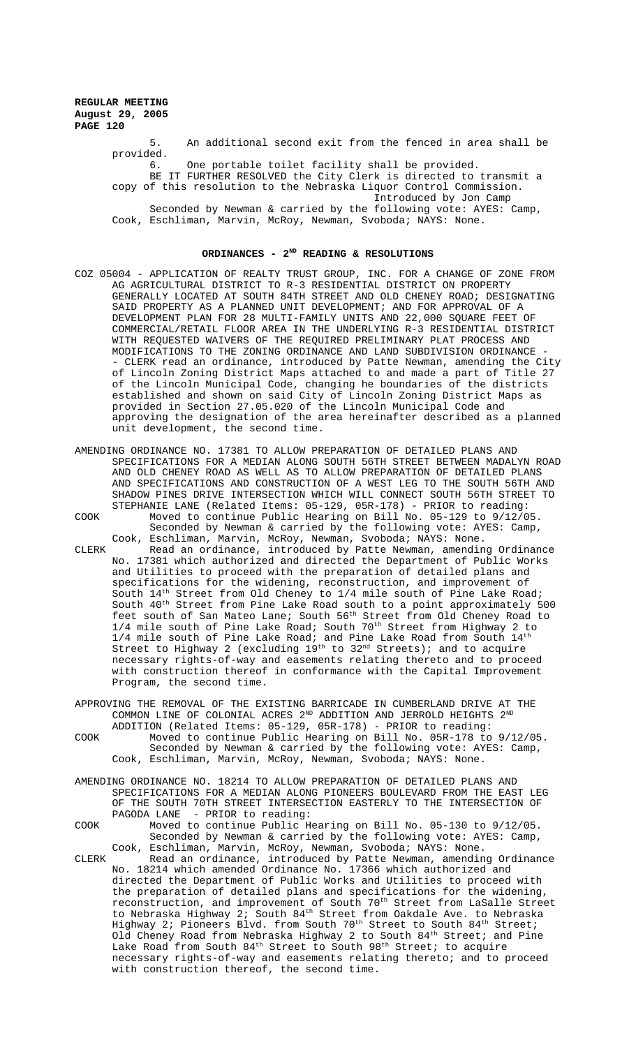> 5. An additional second exit from the fenced in area shall be provided. 6. One portable toilet facility shall be provided. BE IT FURTHER RESOLVED the City Clerk is directed to transmit a copy of this resolution to the Nebraska Liquor Control Commission. Introduced by Jon Camp

Seconded by Newman & carried by the following vote: AYES: Camp, Cook, Eschliman, Marvin, McRoy, Newman, Svoboda; NAYS: None.

## ORDINANCES - 2<sup>ND</sup> READING & RESOLUTIONS

- COZ 05004 APPLICATION OF REALTY TRUST GROUP, INC. FOR A CHANGE OF ZONE FROM AG AGRICULTURAL DISTRICT TO R-3 RESIDENTIAL DISTRICT ON PROPERTY GENERALLY LOCATED AT SOUTH 84TH STREET AND OLD CHENEY ROAD; DESIGNATING SAID PROPERTY AS A PLANNED UNIT DEVELOPMENT; AND FOR APPROVAL OF A DEVELOPMENT PLAN FOR 28 MULTI-FAMILY UNITS AND 22,000 SQUARE FEET OF COMMERCIAL/RETAIL FLOOR AREA IN THE UNDERLYING R-3 RESIDENTIAL DISTRICT WITH REQUESTED WAIVERS OF THE REQUIRED PRELIMINARY PLAT PROCESS AND MODIFICATIONS TO THE ZONING ORDINANCE AND LAND SUBDIVISION ORDINANCE - - CLERK read an ordinance, introduced by Patte Newman, amending the City of Lincoln Zoning District Maps attached to and made a part of Title 27 of the Lincoln Municipal Code, changing he boundaries of the districts established and shown on said City of Lincoln Zoning District Maps as provided in Section 27.05.020 of the Lincoln Municipal Code and approving the designation of the area hereinafter described as a planned unit development, the second time.
- AMENDING ORDINANCE NO. 17381 TO ALLOW PREPARATION OF DETAILED PLANS AND SPECIFICATIONS FOR A MEDIAN ALONG SOUTH 56TH STREET BETWEEN MADALYN ROAD AND OLD CHENEY ROAD AS WELL AS TO ALLOW PREPARATION OF DETAILED PLANS AND SPECIFICATIONS AND CONSTRUCTION OF A WEST LEG TO THE SOUTH 56TH AND SHADOW PINES DRIVE INTERSECTION WHICH WILL CONNECT SOUTH 56TH STREET TO STEPHANIE LANE (Related Items: 05-129, 05R-178) - PRIOR to reading: COOK Moved to continue Public Hearing on Bill No. 05-129 to 9/12/05. Seconded by Newman & carried by the following vote: AYES: Camp, Cook, Eschliman, Marvin, McRoy, Newman, Svoboda; NAYS: None. CLERK Read an ordinance, introduced by Patte Newman, amending Ordinance No. 17381 which authorized and directed the Department of Public Works and Utilities to proceed with the preparation of detailed plans and specifications for the widening, reconstruction, and improvement of South  $14<sup>th</sup>$  Street from Old Cheney to  $1/4$  mile south of Pine Lake Roa South  $14^{th}$  Street from Old Cheney to  $1/4$  mile south of Pine Lake Road; South 40<sup>th</sup> Street from Pine Lake Road south to a point approximately 500 feet south of San Mateo Lane; South 56<sup>th</sup> Street from Old Cheney Road to  $1/4$  mile south of Pine Lake Road; South  $70^{\text{th}}$  Street from Highway  $2$  to  $1/4$  mile south of Pine Lake Road; and Pine Lake Road from South  $14^{th}$ Street to Highway 2 (excluding  $19<sup>th</sup>$  to  $32<sup>nd</sup>$  Streets); and to acquire necessary rights-of-way and easements relating thereto and to proceed with construction thereof in conformance with the Capital Improvement Program, the second time.
- APPROVING THE REMOVAL OF THE EXISTING BARRICADE IN CUMBERLAND DRIVE AT THE COMMON LINE OF COLONIAL ACRES  $2^{\text{ND}}$  ADDITION AND JERROLD HEIGHTS  $2^{\text{ND}}$ ADDITION (Related Items: 05-129, 05R-178) - PRIOR to reading:
- COOK Moved to continue Public Hearing on Bill No. 05R-178 to 9/12/05. Seconded by Newman & carried by the following vote: AYES: Camp, Cook, Eschliman, Marvin, McRoy, Newman, Svoboda; NAYS: None.
- AMENDING ORDINANCE NO. 18214 TO ALLOW PREPARATION OF DETAILED PLANS AND SPECIFICATIONS FOR A MEDIAN ALONG PIONEERS BOULEVARD FROM THE EAST LEG OF THE SOUTH 70TH STREET INTERSECTION EASTERLY TO THE INTERSECTION OF PAGODA LANE - PRIOR to reading:
- COOK Moved to continue Public Hearing on Bill No. 05-130 to 9/12/05. Seconded by Newman & carried by the following vote: AYES: Camp, Cook, Eschliman, Marvin, McRoy, Newman, Svoboda; NAYS: None. CLERK Read an ordinance, introduced by Patte Newman, amending Ordinance No. 18214 which amended Ordinance No. 17366 which authorized and directed the Department of Public Works and Utilities to proceed with
	- the preparation of detailed plans and specifications for the widening, reconstruction, and improvement of South 70<sup>th</sup> Street from LaSalle Street to Nebraska Highway 2; South  $84^{\rm th}$  Street from Oakdale Ave. to Nebraska Highway 2; Pioneers Blvd. from South 70<sup>th</sup> Street to South 84<sup>th</sup> Street; Old Cheney Road from Nebraska Highway 2 to South  $84<sup>th</sup>$  Street; and Pine Lake Road from South  $84<sup>th</sup>$  Street to South  $98<sup>th</sup>$  Street; to acquire necessary rights-of-way and easements relating thereto; and to proceed with construction thereof, the second time.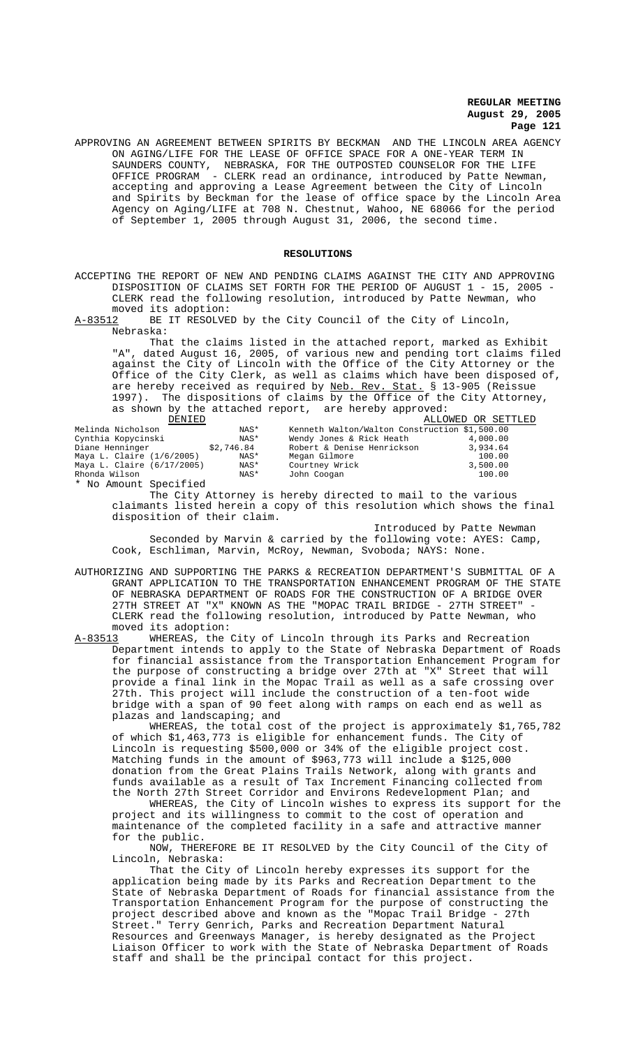APPROVING AN AGREEMENT BETWEEN SPIRITS BY BECKMAN AND THE LINCOLN AREA AGENCY ON AGING/LIFE FOR THE LEASE OF OFFICE SPACE FOR A ONE-YEAR TERM IN SAUNDERS COUNTY, NEBRASKA, FOR THE OUTPOSTED COUNSELOR FOR THE LIFE OFFICE PROGRAM - CLERK read an ordinance, introduced by Patte Newman, accepting and approving a Lease Agreement between the City of Lincoln and Spirits by Beckman for the lease of office space by the Lincoln Area Agency on Aging/LIFE at 708 N. Chestnut, Wahoo, NE 68066 for the period of September 1, 2005 through August 31, 2006, the second time.

#### **RESOLUTIONS**

ACCEPTING THE REPORT OF NEW AND PENDING CLAIMS AGAINST THE CITY AND APPROVING DISPOSITION OF CLAIMS SET FORTH FOR THE PERIOD OF AUGUST 1 - 15, 2005 - CLERK read the following resolution, introduced by Patte Newman, who

moved its adoption:<br>A-83512 BE IT RESOLVE BE IT RESOLVED by the City Council of the City of Lincoln, Nebraska:

That the claims listed in the attached report, marked as Exhibit "A", dated August 16, 2005, of various new and pending tort claims filed against the City of Lincoln with the Office of the City Attorney or the Office of the City Clerk, as well as claims which have been disposed of, are hereby received as required by Neb. Rev. Stat. § 13-905 (Reissue 1997). The dispositions of claims by the Office of the City Attorney, as shown by the attached report, are hereby approved:

| DENTED                                                                                                      |            |                                               | ALLOWED OR SETTLED |
|-------------------------------------------------------------------------------------------------------------|------------|-----------------------------------------------|--------------------|
| Melinda Nicholson                                                                                           | NAS*       | Kenneth Walton/Walton Construction \$1,500.00 |                    |
| Cynthia Kopycinski                                                                                          | NAS*       | Wendy Jones & Rick Heath                      | 4,000.00           |
| Diane Henninger                                                                                             | \$2,746.84 | Robert & Denise Henrickson                    | 3,934.64           |
| Maya L. Claire (1/6/2005)                                                                                   | NAS*       | Megan Gilmore                                 | 100.00             |
| Maya L. Claire (6/17/2005)                                                                                  | NAS*       | Courtney Wrick                                | 3,500.00           |
| Rhonda Wilson                                                                                               | NAS*       | John Coogan                                   | 100.00             |
| $\mathbf{u}$ , and $\mathbf{u}$ , and $\mathbf{u}$ , and $\mathbf{u}$ , and $\mathbf{u}$ , and $\mathbf{u}$ |            |                                               |                    |

\* No Amount Specified

The City Attorney is hereby directed to mail to the various claimants listed herein a copy of this resolution which shows the final disposition of their claim.

Introduced by Patte Newman Seconded by Marvin & carried by the following vote: AYES: Camp, Cook, Eschliman, Marvin, McRoy, Newman, Svoboda; NAYS: None.

AUTHORIZING AND SUPPORTING THE PARKS & RECREATION DEPARTMENT'S SUBMITTAL OF A GRANT APPLICATION TO THE TRANSPORTATION ENHANCEMENT PROGRAM OF THE STATE OF NEBRASKA DEPARTMENT OF ROADS FOR THE CONSTRUCTION OF A BRIDGE OVER 27TH STREET AT "X" KNOWN AS THE "MOPAC TRAIL BRIDGE - 27TH STREET" - CLERK read the following resolution, introduced by Patte Newman, who moved its adoption:<br>A-83513 WHEREAS, the

WHEREAS, the City of Lincoln through its Parks and Recreation Department intends to apply to the State of Nebraska Department of Roads for financial assistance from the Transportation Enhancement Program for the purpose of constructing a bridge over 27th at "X" Street that will provide a final link in the Mopac Trail as well as a safe crossing over 27th. This project will include the construction of a ten-foot wide bridge with a span of 90 feet along with ramps on each end as well as plazas and landscaping; and

WHEREAS, the total cost of the project is approximately \$1,765,782 of which \$1,463,773 is eligible for enhancement funds. The City of Lincoln is requesting \$500,000 or 34% of the eligible project cost. Matching funds in the amount of \$963,773 will include a \$125,000 donation from the Great Plains Trails Network, along with grants and funds available as a result of Tax Increment Financing collected from the North 27th Street Corridor and Environs Redevelopment Plan; and

WHEREAS, the City of Lincoln wishes to express its support for the project and its willingness to commit to the cost of operation and maintenance of the completed facility in a safe and attractive manner for the public.

NOW, THEREFORE BE IT RESOLVED by the City Council of the City of Lincoln, Nebraska:

That the City of Lincoln hereby expresses its support for the application being made by its Parks and Recreation Department to the State of Nebraska Department of Roads for financial assistance from the Transportation Enhancement Program for the purpose of constructing the project described above and known as the "Mopac Trail Bridge - 27th Street." Terry Genrich, Parks and Recreation Department Natural Resources and Greenways Manager, is hereby designated as the Project Liaison Officer to work with the State of Nebraska Department of Roads staff and shall be the principal contact for this project.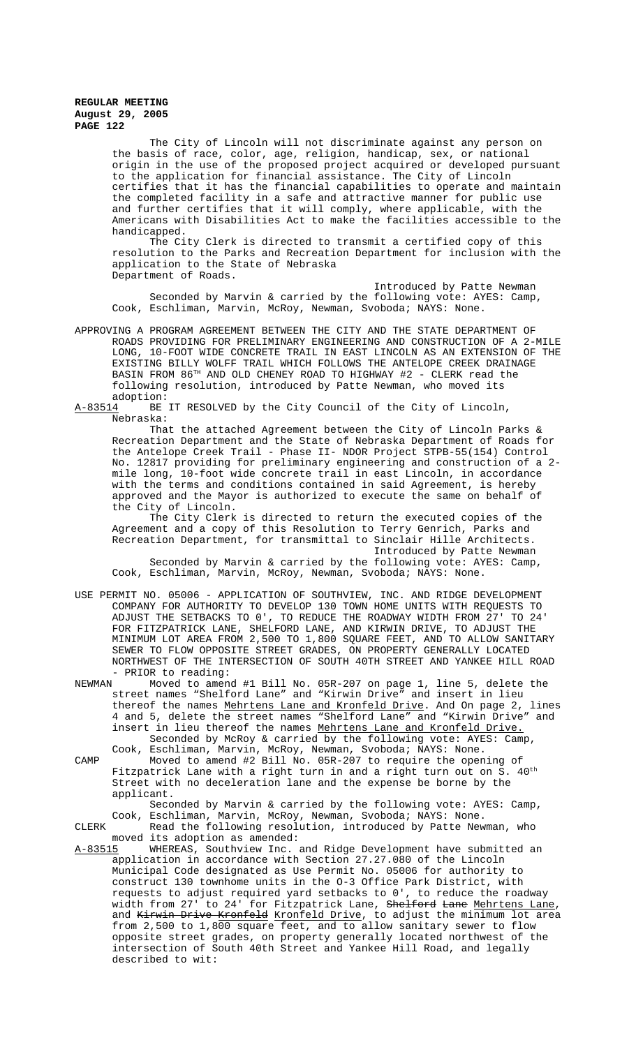The City of Lincoln will not discriminate against any person on the basis of race, color, age, religion, handicap, sex, or national origin in the use of the proposed project acquired or developed pursuant to the application for financial assistance. The City of Lincoln certifies that it has the financial capabilities to operate and maintain the completed facility in a safe and attractive manner for public use and further certifies that it will comply, where applicable, with the Americans with Disabilities Act to make the facilities accessible to the handicapped.

The City Clerk is directed to transmit a certified copy of this resolution to the Parks and Recreation Department for inclusion with the application to the State of Nebraska Department of Roads.

Introduced by Patte Newman Seconded by Marvin & carried by the following vote: AYES: Camp, Cook, Eschliman, Marvin, McRoy, Newman, Svoboda; NAYS: None.

APPROVING A PROGRAM AGREEMENT BETWEEN THE CITY AND THE STATE DEPARTMENT OF ROADS PROVIDING FOR PRELIMINARY ENGINEERING AND CONSTRUCTION OF A 2-MILE LONG, 10-FOOT WIDE CONCRETE TRAIL IN EAST LINCOLN AS AN EXTENSION OF THE EXISTING BILLY WOLFF TRAIL WHICH FOLLOWS THE ANTELOPE CREEK DRAINAGE BASIN FROM 86TH AND OLD CHENEY ROAD TO HIGHWAY #2 - CLERK read the following resolution, introduced by Patte Newman, who moved its adoption:<br>A-83514 BE

BE IT RESOLVED by the City Council of the City of Lincoln, Nebraska:

That the attached Agreement between the City of Lincoln Parks  $\&$ Recreation Department and the State of Nebraska Department of Roads for the Antelope Creek Trail - Phase II- NDOR Project STPB-55(154) Control No. 12817 providing for preliminary engineering and construction of a 2 mile long, 10-foot wide concrete trail in east Lincoln, in accordance with the terms and conditions contained in said Agreement, is hereby approved and the Mayor is authorized to execute the same on behalf of the City of Lincoln.

The City Clerk is directed to return the executed copies of the Agreement and a copy of this Resolution to Terry Genrich, Parks and Recreation Department, for transmittal to Sinclair Hille Architects.

Introduced by Patte Newman Seconded by Marvin & carried by the following vote: AYES: Camp, Cook, Eschliman, Marvin, McRoy, Newman, Svoboda; NAYS: None.

- USE PERMIT NO. 05006 APPLICATION OF SOUTHVIEW, INC. AND RIDGE DEVELOPMENT COMPANY FOR AUTHORITY TO DEVELOP 130 TOWN HOME UNITS WITH REQUESTS TO ADJUST THE SETBACKS TO 0', TO REDUCE THE ROADWAY WIDTH FROM 27' TO 24' FOR FITZPATRICK LANE, SHELFORD LANE, AND KIRWIN DRIVE, TO ADJUST THE MINIMUM LOT AREA FROM 2,500 TO 1,800 SQUARE FEET, AND TO ALLOW SANITARY SEWER TO FLOW OPPOSITE STREET GRADES, ON PROPERTY GENERALLY LOCATED NORTHWEST OF THE INTERSECTION OF SOUTH 40TH STREET AND YANKEE HILL ROAD - PRIOR to reading:<br>NEWMAN Moved to amen
- Moved to amend #1 Bill No. 05R-207 on page 1, line 5, delete the street names "Shelford Lane" and "Kirwin Drive" and insert in lieu thereof the names Mehrtens Lane and Kronfeld Drive. And On page 2, lines 4 and 5, delete the street names "Shelford Lane" and "Kirwin Drive" and insert in lieu thereof the names Mehrtens Lane and Kronfeld Drive. Seconded by McRoy & carried by the following vote: AYES: Camp,
- Cook, Eschliman, Marvin, McRoy, Newman, Svoboda; NAYS: None. CAMP Moved to amend #2 Bill No. 05R-207 to require the opening of Fitzpatrick Lane with a right turn in and a right turn out on S.  $40^{\text{th}}$ Street with no deceleration lane and the expense be borne by the applicant.

#### Seconded by Marvin & carried by the following vote: AYES: Camp, Cook, Eschliman, Marvin, McRoy, Newman, Svoboda; NAYS: None. CLERK Read the following resolution, introduced by Patte Newman, who

moved its adoption as amended:<br>A-83515 WHEREAS, Southview Inc.

WHEREAS, Southview Inc. and Ridge Development have submitted an application in accordance with Section 27.27.080 of the Lincoln Municipal Code designated as Use Permit No. 05006 for authority to construct 130 townhome units in the O-3 Office Park District, with requests to adjust required yard setbacks to 0', to reduce the roadway width from 27' to 24' for Fitzpatrick Lane, Shelford Lane Mehrtens Lane, and Kirwin Drive Kronfeld Kronfeld Drive, to adjust the minimum lot area from 2,500 to 1,800 square feet, and to allow sanitary sewer to flow opposite street grades, on property generally located northwest of the intersection of South 40th Street and Yankee Hill Road, and legally described to wit: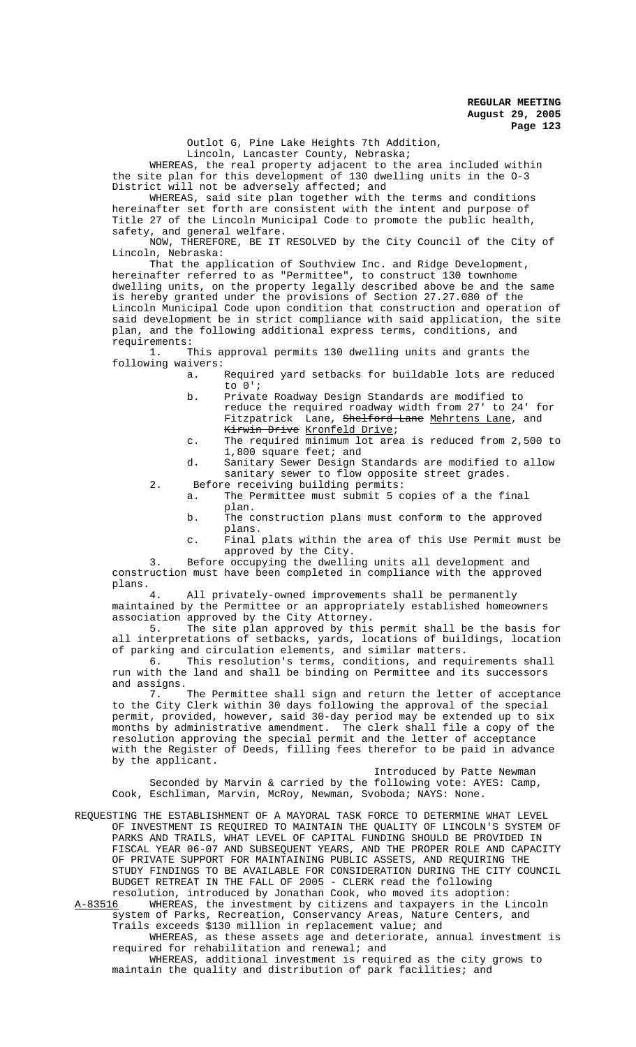Outlot G, Pine Lake Heights 7th Addition,

Lincoln, Lancaster County, Nebraska;

WHEREAS, the real property adjacent to the area included within the site plan for this development of 130 dwelling units in the O-3 District will not be adversely affected; and

WHEREAS, said site plan together with the terms and conditions hereinafter set forth are consistent with the intent and purpose of Title 27 of the Lincoln Municipal Code to promote the public health, safety, and general welfare.

NOW, THEREFORE, BE IT RESOLVED by the City Council of the City of Lincoln, Nebraska:

That the application of Southview Inc. and Ridge Development, hereinafter referred to as "Permittee", to construct 130 townhome dwelling units, on the property legally described above be and the same is hereby granted under the provisions of Section 27.27.080 of the Lincoln Municipal Code upon condition that construction and operation of said development be in strict compliance with said application, the site plan, and the following additional express terms, conditions, and requirements:<br>1. T

This approval permits 130 dwelling units and grants the following waivers:

- a. Required yard setbacks for buildable lots are reduced to 0';
- b. Private Roadway Design Standards are modified to reduce the required roadway width from 27' to 24' for Fitzpatrick Lane, <del>Shelford Lane</del> <u>Mehrtens Lane</u>, and Kirwin Drive Kronfeld Drive;
- c. The required minimum lot area is reduced from 2,500 to 1,800 square feet; and
- d. Sanitary Sewer Design Standards are modified to allow sanitary sewer to flow opposite street grades.
- 2. Before receiving building permits: a. The Permittee must submit 5 copies of a the final
	- plan. b. The construction plans must conform to the approved
	- plans.
	- c. Final plats within the area of this Use Permit must be approved by the City.

3. Before occupying the dwelling units all development and construction must have been completed in compliance with the approved plans.<br>4

All privately-owned improvements shall be permanently maintained by the Permittee or an appropriately established homeowners association approved by the City Attorney.<br>5. The site plan approved by this

The site plan approved by this permit shall be the basis for all interpretations of setbacks, yards, locations of buildings, location of parking and circulation elements, and similar matters.

6. This resolution's terms, conditions, and requirements shall run with the land and shall be binding on Permittee and its successors and assigns.

7. The Permittee shall sign and return the letter of acceptance to the City Clerk within 30 days following the approval of the special permit, provided, however, said 30-day period may be extended up to six months by administrative amendment. The clerk shall file a copy of the resolution approving the special permit and the letter of acceptance with the Register of Deeds, filling fees therefor to be paid in advance by the applicant.

Introduced by Patte Newman

Seconded by Marvin & carried by the following vote: AYES: Camp, Cook, Eschliman, Marvin, McRoy, Newman, Svoboda; NAYS: None.

REQUESTING THE ESTABLISHMENT OF A MAYORAL TASK FORCE TO DETERMINE WHAT LEVEL OF INVESTMENT IS REQUIRED TO MAINTAIN THE QUALITY OF LINCOLN'S SYSTEM OF PARKS AND TRAILS, WHAT LEVEL OF CAPITAL FUNDING SHOULD BE PROVIDED IN FISCAL YEAR 06-07 AND SUBSEQUENT YEARS, AND THE PROPER ROLE AND CAPACITY OF PRIVATE SUPPORT FOR MAINTAINING PUBLIC ASSETS, AND REQUIRING THE STUDY FINDINGS TO BE AVAILABLE FOR CONSIDERATION DURING THE CITY COUNCIL BUDGET RETREAT IN THE FALL OF 2005 - CLERK read the following

resolution, introduced by Jonathan Cook, who moved its adoption:<br>A-83516 WHEREAS, the investment by citizens and taxpayers in the I WHEREAS, the investment by citizens and taxpayers in the Lincoln system of Parks, Recreation, Conservancy Areas, Nature Centers, and Trails exceeds \$130 million in replacement value; and

WHEREAS, as these assets age and deteriorate, annual investment is required for rehabilitation and renewal; and

WHEREAS, additional investment is required as the city grows to maintain the quality and distribution of park facilities; and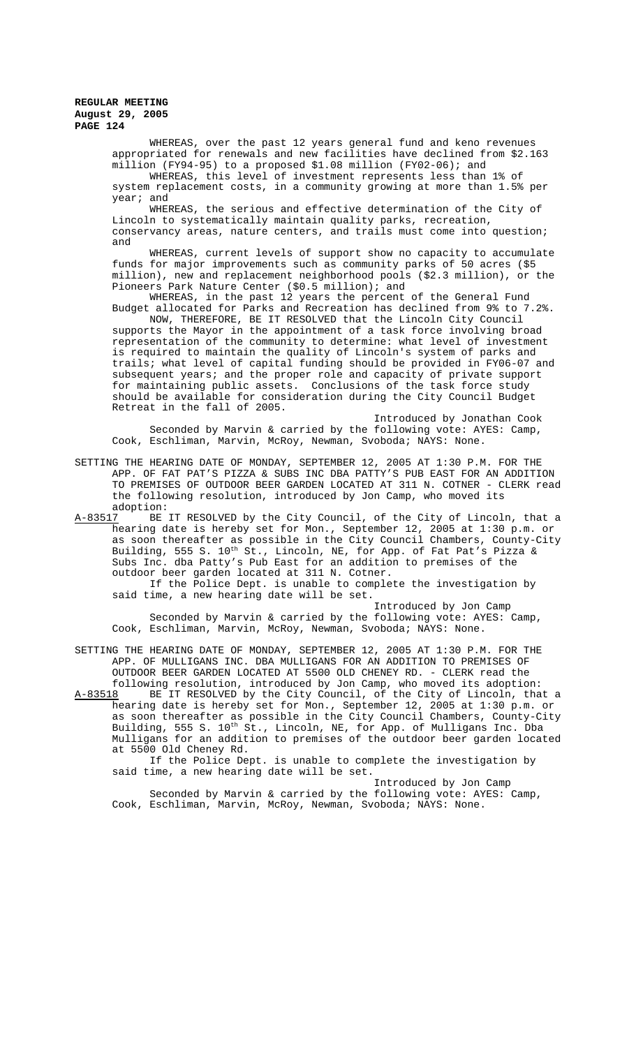WHEREAS, over the past 12 years general fund and keno revenues appropriated for renewals and new facilities have declined from \$2.163 million (FY94-95) to a proposed \$1.08 million (FY02-06); and

WHEREAS, this level of investment represents less than 1% of system replacement costs, in a community growing at more than 1.5% per year; and

WHEREAS, the serious and effective determination of the City of Lincoln to systematically maintain quality parks, recreation, conservancy areas, nature centers, and trails must come into question; and

WHEREAS, current levels of support show no capacity to accumulate funds for major improvements such as community parks of 50 acres (\$5 million), new and replacement neighborhood pools (\$2.3 million), or the Pioneers Park Nature Center (\$0.5 million); and

WHEREAS, in the past 12 years the percent of the General Fund Budget allocated for Parks and Recreation has declined from 9% to 7.2%.

NOW, THEREFORE, BE IT RESOLVED that the Lincoln City Council supports the Mayor in the appointment of a task force involving broad representation of the community to determine: what level of investment is required to maintain the quality of Lincoln's system of parks and trails; what level of capital funding should be provided in FY06-07 and subsequent years; and the proper role and capacity of private support for maintaining public assets. Conclusions of the task force study should be available for consideration during the City Council Budget Retreat in the fall of 2005.

Introduced by Jonathan Cook Seconded by Marvin & carried by the following vote: AYES: Camp, Cook, Eschliman, Marvin, McRoy, Newman, Svoboda; NAYS: None.

SETTING THE HEARING DATE OF MONDAY, SEPTEMBER 12, 2005 AT 1:30 P.M. FOR THE APP. OF FAT PAT'S PIZZA & SUBS INC DBA PATTY'S PUB EAST FOR AN ADDITION TO PREMISES OF OUTDOOR BEER GARDEN LOCATED AT 311 N. COTNER - CLERK read the following resolution, introduced by Jon Camp, who moved its

adoption:<br><u>A-83517</u> BE BE IT RESOLVED by the City Council, of the City of Lincoln, that a hearing date is hereby set for Mon., September 12, 2005 at 1:30 p.m. or as soon thereafter as possible in the City Council Chambers, County-City Building, 555 S.  $10^{\text{th}}$  St., Lincoln, NE, for App. of Fat Pat's Pizza & Subs Inc. dba Patty's Pub East for an addition to premises of the outdoor beer garden located at 311 N. Cotner.

If the Police Dept. is unable to complete the investigation by said time, a new hearing date will be set.

Introduced by Jon Camp Seconded by Marvin & carried by the following vote: AYES: Camp, Cook, Eschliman, Marvin, McRoy, Newman, Svoboda; NAYS: None.

SETTING THE HEARING DATE OF MONDAY, SEPTEMBER 12, 2005 AT 1:30 P.M. FOR THE APP. OF MULLIGANS INC. DBA MULLIGANS FOR AN ADDITION TO PREMISES OF OUTDOOR BEER GARDEN LOCATED AT 5500 OLD CHENEY RD. - CLERK read the

following resolution, introduced by Jon Camp, who moved its adoption:<br>A-83518 BE IT RESOLVED by the City Council, of the City of Lincoln, tha BE IT RESOLVED by the City Council, of the City of Lincoln, that a hearing date is hereby set for Mon., September 12, 2005 at 1:30 p.m. or as soon thereafter as possible in the City Council Chambers, County-City Building, 555 S. 10<sup>th</sup> St., Lincoln, NE, for App. of Mulligans Inc. Dba Mulligans for an addition to premises of the outdoor beer garden located at 5500 Old Cheney Rd.

If the Police Dept. is unable to complete the investigation by said time, a new hearing date will be set.

Introduced by Jon Camp Seconded by Marvin & carried by the following vote: AYES: Camp, Cook, Eschliman, Marvin, McRoy, Newman, Svoboda; NAYS: None.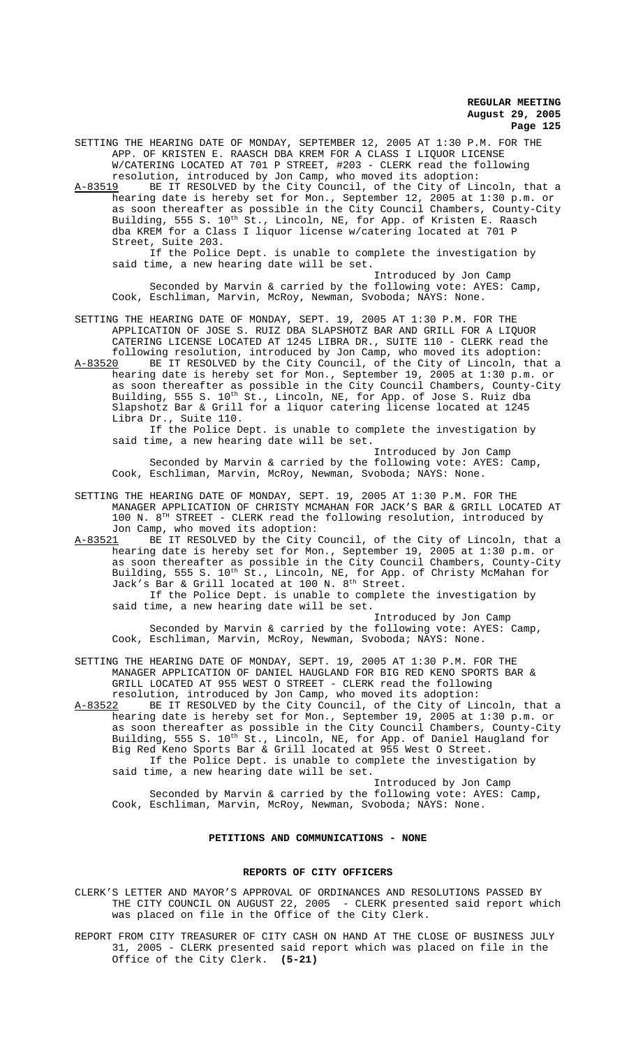SETTING THE HEARING DATE OF MONDAY, SEPTEMBER 12, 2005 AT 1:30 P.M. FOR THE APP. OF KRISTEN E. RAASCH DBA KREM FOR A CLASS I LIQUOR LICENSE W/CATERING LOCATED AT 701 P STREET, #203 - CLERK read the following resolution, introduced by Jon Camp, who moved its adoption:

A-83519 BE IT RESOLVED by the City Council, of the City of Lincoln, that a hearing date is hereby set for Mon., September 12, 2005 at 1:30 p.m. or as soon thereafter as possible in the City Council Chambers, County-City Building, 555 S. 10<sup>th</sup> St., Lincoln, NE, for App. of Kristen E. Raasch dba KREM for a Class I liquor license w/catering located at 701 P Street, Suite 203.

If the Police Dept. is unable to complete the investigation by said time, a new hearing date will be set.

Introduced by Jon Camp Seconded by Marvin & carried by the following vote: AYES: Camp, Cook, Eschliman, Marvin, McRoy, Newman, Svoboda; NAYS: None.

SETTING THE HEARING DATE OF MONDAY, SEPT. 19, 2005 AT 1:30 P.M. FOR THE APPLICATION OF JOSE S. RUIZ DBA SLAPSHOTZ BAR AND GRILL FOR A LIQUOR CATERING LICENSE LOCATED AT 1245 LIBRA DR., SUITE 110 - CLERK read the following resolution, introduced by Jon Camp, who moved its adoption:

A-83520 BE IT RESOLVED by the City Council, of the City of Lincoln, that a hearing date is hereby set for Mon., September 19, 2005 at 1:30 p.m. or as soon thereafter as possible in the City Council Chambers, County-City Building, 555 S. 10<sup>th</sup> St., Lincoln, NE, for App. of Jose S. Ruiz dba Slapshotz Bar & Grill for a liquor catering license located at 1245 Libra Dr., Suite 110.

If the Police Dept. is unable to complete the investigation by said time, a new hearing date will be set.

Introduced by Jon Camp Seconded by Marvin & carried by the following vote: AYES: Camp, Cook, Eschliman, Marvin, McRoy, Newman, Svoboda; NAYS: None.

SETTING THE HEARING DATE OF MONDAY, SEPT. 19, 2005 AT 1:30 P.M. FOR THE MANAGER APPLICATION OF CHRISTY MCMAHAN FOR JACK'S BAR & GRILL LOCATED AT 100 N.  $8^{TH}$  STREET - CLERK read the following resolution, introduced by Jon Camp, who moved its adoption:

A-83521 BE IT RESOLVED by the City Council, of the City of Lincoln, that a hearing date is hereby set for Mon., September 19, 2005 at 1:30 p.m. or as soon thereafter as possible in the City Council Chambers, County-City Building, 555 S. 10<sup>th</sup> St., Lincoln, NE, for App. of Christy McMahan for Jack's Bar & Grill located at 100 N. 8<sup>th</sup> Street.

If the Police Dept. is unable to complete the investigation by said time, a new hearing date will be set.

Introduced by Jon Camp Seconded by Marvin & carried by the following vote: AYES: Camp, Cook, Eschliman, Marvin, McRoy, Newman, Svoboda; NAYS: None.

SETTING THE HEARING DATE OF MONDAY, SEPT. 19, 2005 AT 1:30 P.M. FOR THE MANAGER APPLICATION OF DANIEL HAUGLAND FOR BIG RED KENO SPORTS BAR & GRILL LOCATED AT 955 WEST O STREET - CLERK read the following resolution, introduced by Jon Camp, who moved its adoption:

A-83522 BE IT RESOLVED by the City Council, of the City of Lincoln, that a hearing date is hereby set for Mon., September 19, 2005 at 1:30 p.m. or as soon thereafter as possible in the City Council Chambers, County-City Building, 555 S. 10<sup>th</sup> St., Lincoln, NE, for App. of Daniel Haugland for Big Red Keno Sports Bar & Grill located at 955 West O Street. If the Police Dept. is unable to complete the investigation by said time, a new hearing date will be set.

Introduced by Jon Camp Seconded by Marvin & carried by the following vote: AYES: Camp, Cook, Eschliman, Marvin, McRoy, Newman, Svoboda; NAYS: None.

# **PETITIONS AND COMMUNICATIONS - NONE**

#### **REPORTS OF CITY OFFICERS**

CLERK'S LETTER AND MAYOR'S APPROVAL OF ORDINANCES AND RESOLUTIONS PASSED BY THE CITY COUNCIL ON AUGUST 22, 2005 - CLERK presented said report which was placed on file in the Office of the City Clerk.

REPORT FROM CITY TREASURER OF CITY CASH ON HAND AT THE CLOSE OF BUSINESS JULY 31, 2005 - CLERK presented said report which was placed on file in the Office of the City Clerk. **(5-21)**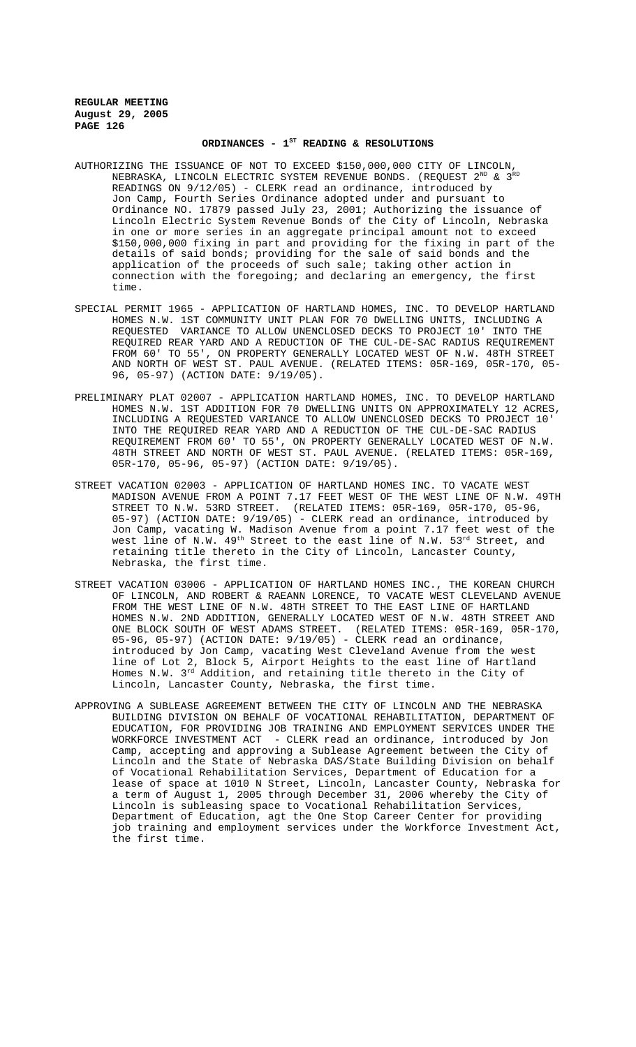# ORDINANCES -  $1^{ST}$  READING & RESOLUTIONS

- AUTHORIZING THE ISSUANCE OF NOT TO EXCEED \$150,000,000 CITY OF LINCOLN, NEBRASKA, LINCOLN ELECTRIC SYSTEM REVENUE BONDS. (REQUEST  $2^{ND}$  &  $3^{RD}$ READINGS ON 9/12/05) - CLERK read an ordinance, introduced by Jon Camp, Fourth Series Ordinance adopted under and pursuant to Ordinance NO. 17879 passed July 23, 2001; Authorizing the issuance of Lincoln Electric System Revenue Bonds of the City of Lincoln, Nebraska in one or more series in an aggregate principal amount not to exceed \$150,000,000 fixing in part and providing for the fixing in part of the details of said bonds; providing for the sale of said bonds and the application of the proceeds of such sale; taking other action in connection with the foregoing; and declaring an emergency, the first time.
- SPECIAL PERMIT 1965 APPLICATION OF HARTLAND HOMES, INC. TO DEVELOP HARTLAND HOMES N.W. 1ST COMMUNITY UNIT PLAN FOR 70 DWELLING UNITS, INCLUDING A REQUESTED VARIANCE TO ALLOW UNENCLOSED DECKS TO PROJECT 10' INTO THE REQUIRED REAR YARD AND A REDUCTION OF THE CUL-DE-SAC RADIUS REQUIREMENT FROM 60' TO 55', ON PROPERTY GENERALLY LOCATED WEST OF N.W. 48TH STREET AND NORTH OF WEST ST. PAUL AVENUE. (RELATED ITEMS: 05R-169, 05R-170, 05- 96, 05-97) (ACTION DATE: 9/19/05).
- PRELIMINARY PLAT 02007 APPLICATION HARTLAND HOMES, INC. TO DEVELOP HARTLAND HOMES N.W. 1ST ADDITION FOR 70 DWELLING UNITS ON APPROXIMATELY 12 ACRES, INCLUDING A REQUESTED VARIANCE TO ALLOW UNENCLOSED DECKS TO PROJECT 10' INTO THE REQUIRED REAR YARD AND A REDUCTION OF THE CUL-DE-SAC RADIUS REQUIREMENT FROM 60' TO 55', ON PROPERTY GENERALLY LOCATED WEST OF N.W. 48TH STREET AND NORTH OF WEST ST. PAUL AVENUE. (RELATED ITEMS: 05R-169, 05R-170, 05-96, 05-97) (ACTION DATE: 9/19/05).
- STREET VACATION 02003 APPLICATION OF HARTLAND HOMES INC. TO VACATE WEST MADISON AVENUE FROM A POINT 7.17 FEET WEST OF THE WEST LINE OF N.W. 49TH STREET TO N.W. 53RD STREET. (RELATED ITEMS: 05R-169, 05R-170, 05-96, 05-97) (ACTION DATE: 9/19/05) - CLERK read an ordinance, introduced by Jon Camp, vacating W. Madison Avenue from a point 7.17 feet west of the west line of N.W. 49<sup>th</sup> Street to the east line of N.W. 53<sup>rd</sup> Street, and retaining title thereto in the City of Lincoln, Lancaster County, Nebraska, the first time.
- STREET VACATION 03006 APPLICATION OF HARTLAND HOMES INC., THE KOREAN CHURCH OF LINCOLN, AND ROBERT & RAEANN LORENCE, TO VACATE WEST CLEVELAND AVENUE FROM THE WEST LINE OF N.W. 48TH STREET TO THE EAST LINE OF HARTLAND HOMES N.W. 2ND ADDITION, GENERALLY LOCATED WEST OF N.W. 48TH STREET AND ONE BLOCK SOUTH OF WEST ADAMS STREET. (RELATED ITEMS: 05R-169, 05R-170, 05-96, 05-97) (ACTION DATE: 9/19/05) - CLERK read an ordinance, introduced by Jon Camp, vacating West Cleveland Avenue from the west line of Lot 2, Block 5, Airport Heights to the east line of Hartland Homes N.W. 3rd Addition, and retaining title thereto in the City of Lincoln, Lancaster County, Nebraska, the first time.
- APPROVING A SUBLEASE AGREEMENT BETWEEN THE CITY OF LINCOLN AND THE NEBRASKA BUILDING DIVISION ON BEHALF OF VOCATIONAL REHABILITATION, DEPARTMENT OF EDUCATION, FOR PROVIDING JOB TRAINING AND EMPLOYMENT SERVICES UNDER THE WORKFORCE INVESTMENT ACT - CLERK read an ordinance, introduced by Jon Camp, accepting and approving a Sublease Agreement between the City of Lincoln and the State of Nebraska DAS/State Building Division on behalf of Vocational Rehabilitation Services, Department of Education for a lease of space at 1010 N Street, Lincoln, Lancaster County, Nebraska for a term of August 1, 2005 through December 31, 2006 whereby the City of Lincoln is subleasing space to Vocational Rehabilitation Services, Department of Education, agt the One Stop Career Center for providing job training and employment services under the Workforce Investment Act, the first time.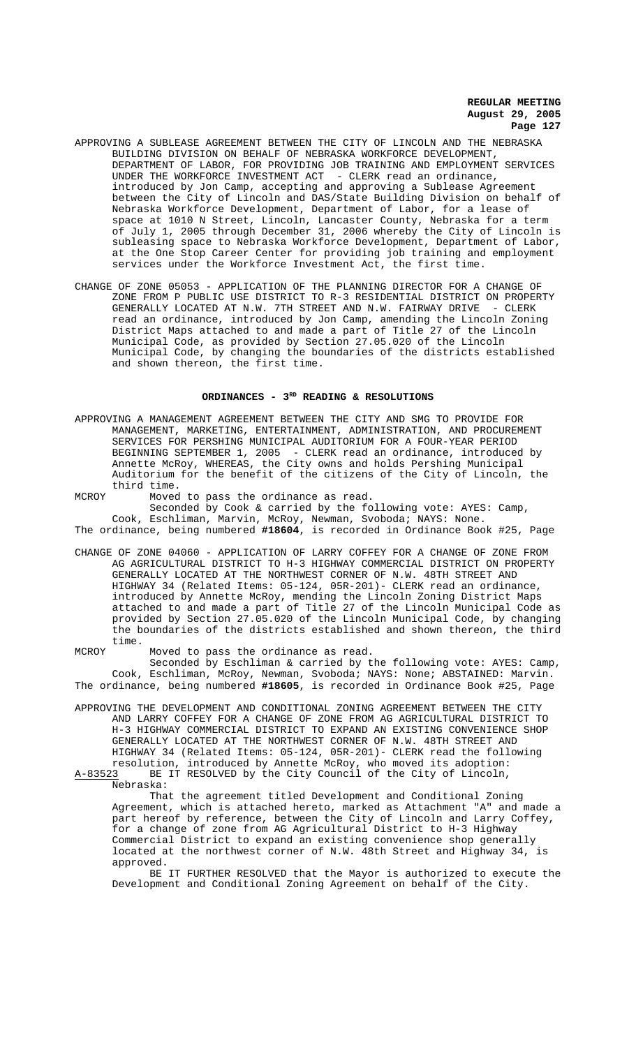- APPROVING A SUBLEASE AGREEMENT BETWEEN THE CITY OF LINCOLN AND THE NEBRASKA BUILDING DIVISION ON BEHALF OF NEBRASKA WORKFORCE DEVELOPMENT, DEPARTMENT OF LABOR, FOR PROVIDING JOB TRAINING AND EMPLOYMENT SERVICES UNDER THE WORKFORCE INVESTMENT ACT - CLERK read an ordinance, introduced by Jon Camp, accepting and approving a Sublease Agreement between the City of Lincoln and DAS/State Building Division on behalf of Nebraska Workforce Development, Department of Labor, for a lease of space at 1010 N Street, Lincoln, Lancaster County, Nebraska for a term of July 1, 2005 through December 31, 2006 whereby the City of Lincoln is subleasing space to Nebraska Workforce Development, Department of Labor, at the One Stop Career Center for providing job training and employment services under the Workforce Investment Act, the first time.
- CHANGE OF ZONE 05053 APPLICATION OF THE PLANNING DIRECTOR FOR A CHANGE OF ZONE FROM P PUBLIC USE DISTRICT TO R-3 RESIDENTIAL DISTRICT ON PROPERTY GENERALLY LOCATED AT N.W. 7TH STREET AND N.W. FAIRWAY DRIVE - CLERK read an ordinance, introduced by Jon Camp, amending the Lincoln Zoning District Maps attached to and made a part of Title 27 of the Lincoln Municipal Code, as provided by Section 27.05.020 of the Lincoln Municipal Code, by changing the boundaries of the districts established and shown thereon, the first time.

#### **ORDINANCES - 3RD READING & RESOLUTIONS**

- APPROVING A MANAGEMENT AGREEMENT BETWEEN THE CITY AND SMG TO PROVIDE FOR MANAGEMENT, MARKETING, ENTERTAINMENT, ADMINISTRATION, AND PROCUREMENT SERVICES FOR PERSHING MUNICIPAL AUDITORIUM FOR A FOUR-YEAR PERIOD BEGINNING SEPTEMBER 1, 2005 - CLERK read an ordinance, introduced by Annette McRoy, WHEREAS, the City owns and holds Pershing Municipal Auditorium for the benefit of the citizens of the City of Lincoln, the third time.
- MCROY Moved to pass the ordinance as read. Seconded by Cook & carried by the following vote: AYES: Camp, Cook, Eschliman, Marvin, McRoy, Newman, Svoboda; NAYS: None.

The ordinance, being numbered **#18604**, is recorded in Ordinance Book #25, Page

- CHANGE OF ZONE 04060 APPLICATION OF LARRY COFFEY FOR A CHANGE OF ZONE FROM AG AGRICULTURAL DISTRICT TO H-3 HIGHWAY COMMERCIAL DISTRICT ON PROPERTY GENERALLY LOCATED AT THE NORTHWEST CORNER OF N.W. 48TH STREET AND HIGHWAY 34 (Related Items: 05-124, 05R-201)- CLERK read an ordinance, introduced by Annette McRoy, mending the Lincoln Zoning District Maps attached to and made a part of Title 27 of the Lincoln Municipal Code as provided by Section 27.05.020 of the Lincoln Municipal Code, by changing the boundaries of the districts established and shown thereon, the third time.
- MCROY Moved to pass the ordinance as read.

Seconded by Eschliman & carried by the following vote: AYES: Camp, Cook, Eschliman, McRoy, Newman, Svoboda; NAYS: None; ABSTAINED: Marvin. The ordinance, being numbered **#18605**, is recorded in Ordinance Book #25, Page

APPROVING THE DEVELOPMENT AND CONDITIONAL ZONING AGREEMENT BETWEEN THE CITY AND LARRY COFFEY FOR A CHANGE OF ZONE FROM AG AGRICULTURAL DISTRICT TO H-3 HIGHWAY COMMERCIAL DISTRICT TO EXPAND AN EXISTING CONVENIENCE SHOP GENERALLY LOCATED AT THE NORTHWEST CORNER OF N.W. 48TH STREET AND HIGHWAY 34 (Related Items: 05-124, 05R-201)- CLERK read the following resolution, introduced by Annette McRoy, who moved its adoption:<br>A-83523 BE IT RESOLVED by the City Council of the City of Lincoln, BE IT RESOLVED by the City Council of the City of Lincoln,

Nebraska:

That the agreement titled Development and Conditional Zoning Agreement, which is attached hereto, marked as Attachment "A" and made a part hereof by reference, between the City of Lincoln and Larry Coffey, for a change of zone from AG Agricultural District to H-3 Highway Commercial District to expand an existing convenience shop generally located at the northwest corner of N.W. 48th Street and Highway 34, is approved.

BE IT FURTHER RESOLVED that the Mayor is authorized to execute the Development and Conditional Zoning Agreement on behalf of the City.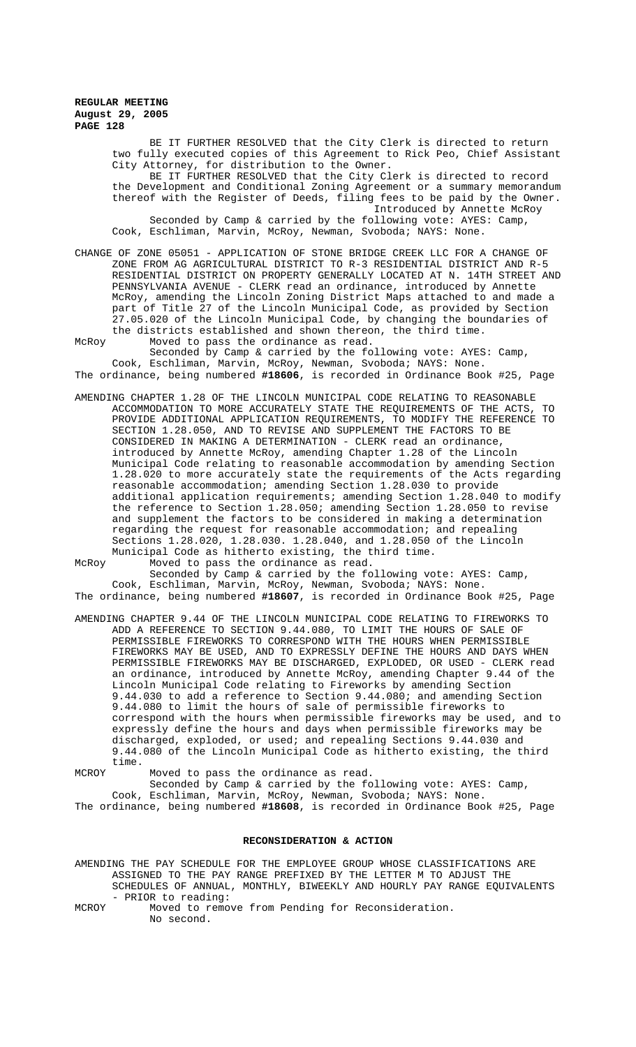BE IT FURTHER RESOLVED that the City Clerk is directed to return two fully executed copies of this Agreement to Rick Peo, Chief Assistant City Attorney, for distribution to the Owner. BE IT FURTHER RESOLVED that the City Clerk is directed to record the Development and Conditional Zoning Agreement or a summary memorandum thereof with the Register of Deeds, filing fees to be paid by the Owner. Introduced by Annette McRoy Seconded by Camp & carried by the following vote: AYES: Camp, Cook, Eschliman, Marvin, McRoy, Newman, Svoboda; NAYS: None.

CHANGE OF ZONE 05051 - APPLICATION OF STONE BRIDGE CREEK LLC FOR A CHANGE OF ZONE FROM AG AGRICULTURAL DISTRICT TO R-3 RESIDENTIAL DISTRICT AND R-5 RESIDENTIAL DISTRICT ON PROPERTY GENERALLY LOCATED AT N. 14TH STREET AND PENNSYLVANIA AVENUE - CLERK read an ordinance, introduced by Annette McRoy, amending the Lincoln Zoning District Maps attached to and made a part of Title 27 of the Lincoln Municipal Code, as provided by Section 27.05.020 of the Lincoln Municipal Code, by changing the boundaries of the districts established and shown thereon, the third time.

McRoy Moved to pass the ordinance as read. Seconded by Camp & carried by the following vote: AYES: Camp, Cook, Eschliman, Marvin, McRoy, Newman, Svoboda; NAYS: None. The ordinance, being numbered **#18606**, is recorded in Ordinance Book #25, Page

AMENDING CHAPTER 1.28 OF THE LINCOLN MUNICIPAL CODE RELATING TO REASONABLE ACCOMMODATION TO MORE ACCURATELY STATE THE REQUIREMENTS OF THE ACTS, TO PROVIDE ADDITIONAL APPLICATION REQUIREMENTS, TO MODIFY THE REFERENCE TO SECTION 1.28.050, AND TO REVISE AND SUPPLEMENT THE FACTORS TO BE CONSIDERED IN MAKING A DETERMINATION - CLERK read an ordinance, introduced by Annette McRoy, amending Chapter 1.28 of the Lincoln Municipal Code relating to reasonable accommodation by amending Section 1.28.020 to more accurately state the requirements of the Acts regarding reasonable accommodation; amending Section 1.28.030 to provide additional application requirements; amending Section 1.28.040 to modify the reference to Section 1.28.050; amending Section 1.28.050 to revise and supplement the factors to be considered in making a determination regarding the request for reasonable accommodation; and repealing Sections 1.28.020, 1.28.030. 1.28.040, and 1.28.050 of the Lincoln Municipal Code as hitherto existing, the third time.

McRoy Moved to pass the ordinance as read.

Seconded by Camp & carried by the following vote: AYES: Camp, Cook, Eschliman, Marvin, McRoy, Newman, Svoboda; NAYS: None. The ordinance, being numbered **#18607**, is recorded in Ordinance Book #25, Page

AMENDING CHAPTER 9.44 OF THE LINCOLN MUNICIPAL CODE RELATING TO FIREWORKS TO ADD A REFERENCE TO SECTION 9.44.080, TO LIMIT THE HOURS OF SALE OF PERMISSIBLE FIREWORKS TO CORRESPOND WITH THE HOURS WHEN PERMISSIBLE FIREWORKS MAY BE USED, AND TO EXPRESSLY DEFINE THE HOURS AND DAYS WHEN PERMISSIBLE FIREWORKS MAY BE DISCHARGED, EXPLODED, OR USED - CLERK read an ordinance, introduced by Annette McRoy, amending Chapter 9.44 of the Lincoln Municipal Code relating to Fireworks by amending Section 9.44.030 to add a reference to Section 9.44.080; and amending Section 9.44.080 to limit the hours of sale of permissible fireworks to correspond with the hours when permissible fireworks may be used, and to expressly define the hours and days when permissible fireworks may be discharged, exploded, or used; and repealing Sections 9.44.030 and 9.44.080 of the Lincoln Municipal Code as hitherto existing, the third time.

MCROY Moved to pass the ordinance as read.

Seconded by Camp & carried by the following vote: AYES: Camp, Cook, Eschliman, Marvin, McRoy, Newman, Svoboda; NAYS: None. The ordinance, being numbered **#18608**, is recorded in Ordinance Book #25, Page

#### **RECONSIDERATION & ACTION**

AMENDING THE PAY SCHEDULE FOR THE EMPLOYEE GROUP WHOSE CLASSIFICATIONS ARE ASSIGNED TO THE PAY RANGE PREFIXED BY THE LETTER M TO ADJUST THE SCHEDULES OF ANNUAL, MONTHLY, BIWEEKLY AND HOURLY PAY RANGE EQUIVALENTS - PRIOR to reading:

MCROY Moved to remove from Pending for Reconsideration. No second.